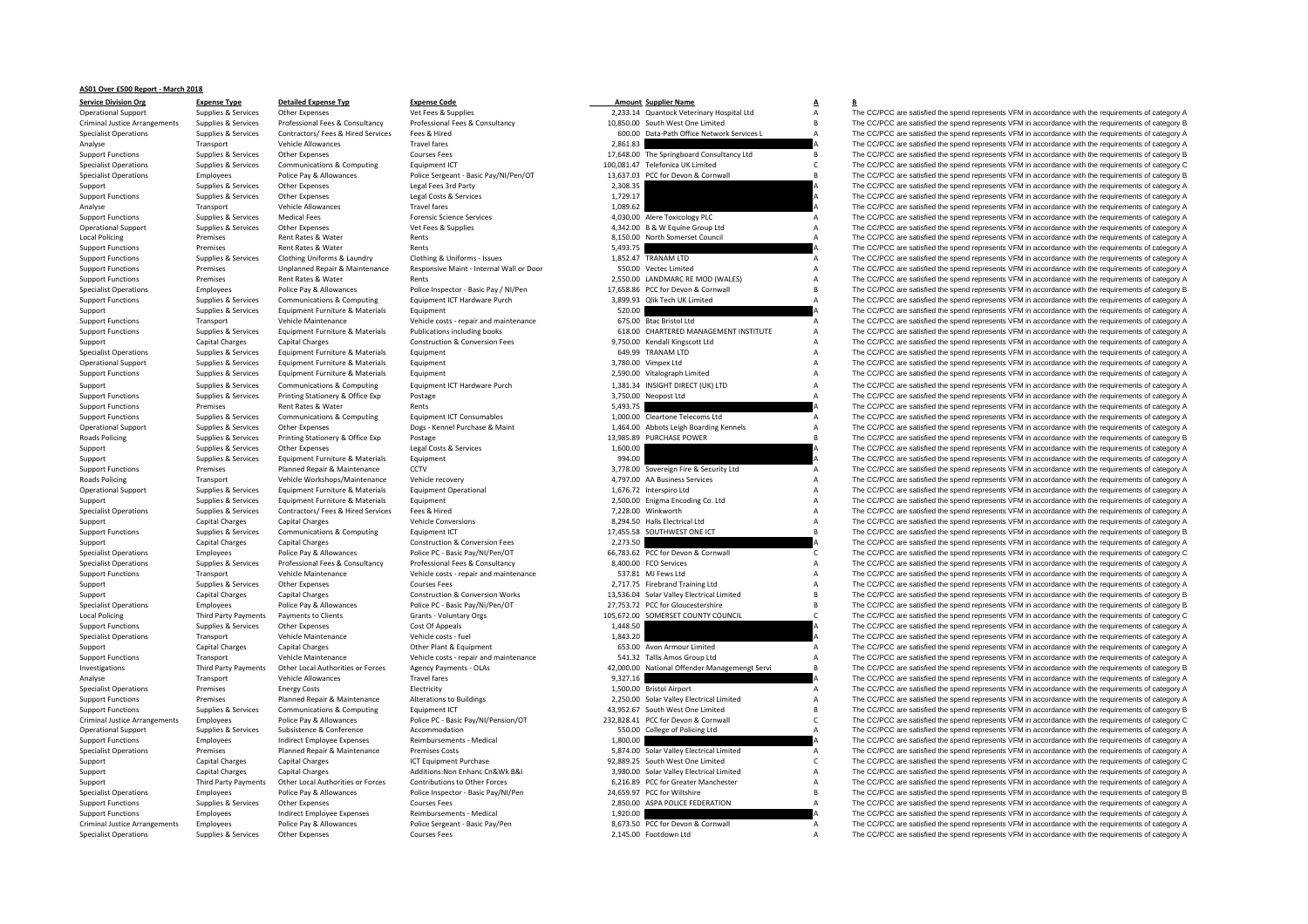## **AS01 Over £500 Report ‐ March 2018**

|                                      | $\cdots$                    |                                    |                                            |          |                                               |                     |                                                                                                     |
|--------------------------------------|-----------------------------|------------------------------------|--------------------------------------------|----------|-----------------------------------------------|---------------------|-----------------------------------------------------------------------------------------------------|
| <b>Operational Support</b>           | Supplies & Services         | Other Expenses                     | Vet Fees & Supplies                        |          | 2,233.14 Quantock Veterinary Hospital Ltd     | А                   | The CC/PCC are satisfied the spend represents VFM in accordance with the requirements of category A |
| <b>Criminal Justice Arrangements</b> | Supplies & Services         | Professional Fees & Consultancy    | Professional Fees & Consultancy            |          | 10,850.00 South West One Limited              | B                   | The CC/PCC are satisfied the spend represents VFM in accordance with the requirements of category E |
| <b>Specialist Operations</b>         | Supplies & Services         | Contractors/ Fees & Hired Services | Fees & Hired                               |          | 600.00 Data-Path Office Network Services L    |                     | The CC/PCC are satisfied the spend represents VFM in accordance with the requirements of category A |
| Analyse                              | Transport                   | <b>Vehicle Allowances</b>          | <b>Travel fares</b>                        | 2.861.83 |                                               |                     | The CC/PCC are satisfied the spend represents VFM in accordance with the requirements of category A |
| <b>Support Functions</b>             | Supplies & Services         | Other Expenses                     | <b>Courses Fees</b>                        |          | 17,648.00 The Springboard Consultancy Ltd     |                     | The CC/PCC are satisfied the spend represents VFM in accordance with the requirements of category E |
| <b>Specialist Operations</b>         | Supplies & Services         | Communications & Computing         | Equipment ICT                              |          | 100,081.47 Telefonica UK Limited              | $\mathsf{C}$        | The CC/PCC are satisfied the spend represents VFM in accordance with the requirements of category C |
| <b>Specialist Operations</b>         | Employees                   | Police Pay & Allowances            | Police Sergeant - Basic Pay/NI/Pen/OT      |          | 13,637.03 PCC for Devon & Cornwall            | B <sub>1</sub>      | The CC/PCC are satisfied the spend represents VFM in accordance with the requirements of category E |
| Support                              | Supplies & Services         | Other Expenses                     | Legal Fees 3rd Party                       | 2,308.35 |                                               |                     | The CC/PCC are satisfied the spend represents VFM in accordance with the requirements of category A |
| <b>Support Functions</b>             | Supplies & Services         | Other Expenses                     | Legal Costs & Services                     | 1,729.17 |                                               |                     | The CC/PCC are satisfied the spend represents VFM in accordance with the requirements of category A |
| Analyse                              | Transport                   | Vehicle Allowances                 | Travel fares                               | 1,089.62 |                                               |                     | The CC/PCC are satisfied the spend represents VFM in accordance with the requirements of category A |
| <b>Support Functions</b>             | Supplies & Services         | <b>Medical Fees</b>                | <b>Forensic Science Services</b>           |          | 4,030.00 Alere Toxicology PLC                 | $\mathsf{A}$        | The CC/PCC are satisfied the spend represents VFM in accordance with the requirements of category A |
| <b>Operational Support</b>           | Supplies & Services         | Other Expenses                     | Vet Fees & Supplies                        |          | 4,342.00 B & W Equine Group Ltd               | $\mathsf{A}$        | The CC/PCC are satisfied the spend represents VFM in accordance with the requirements of category A |
| <b>Local Policing</b>                | Premises                    | Rent Rates & Water                 | Rents                                      |          | 8,150.00 North Somerset Council               | A                   | The CC/PCC are satisfied the spend represents VFM in accordance with the requirements of category A |
| <b>Support Functions</b>             | Premises                    | Rent Rates & Water                 | Rents                                      | 5,493.75 |                                               |                     | The CC/PCC are satisfied the spend represents VFM in accordance with the requirements of category A |
| <b>Support Functions</b>             | Supplies & Services         | Clothing Uniforms & Laundry        | Clothing & Uniforms - Issues               |          | 1,852.47 TRANAM LTD                           | A                   | The CC/PCC are satisfied the spend represents VFM in accordance with the requirements of category A |
|                                      | Premises                    | Unplanned Repair & Maintenance     | Responsive Maint - Internal Wall or Door   |          | 550.00 Vectec Limited                         | А                   | The CC/PCC are satisfied the spend represents VFM in accordance with the requirements of category A |
| <b>Support Functions</b>             | Premises                    | Rent Rates & Water                 | Rents                                      |          |                                               |                     |                                                                                                     |
| <b>Support Functions</b>             |                             |                                    |                                            |          | 2,550.00 LANDMARC RE MOD (WALES)              | А<br>$\overline{B}$ | The CC/PCC are satisfied the spend represents VFM in accordance with the requirements of category A |
| <b>Specialist Operations</b>         | Employees                   | Police Pay & Allowances            | Police Inspector - Basic Pay / NI/Pen      |          | 17,658.86 PCC for Devon & Cornwall            | $\overline{A}$      | The CC/PCC are satisfied the spend represents VFM in accordance with the requirements of category E |
| <b>Support Functions</b>             | Supplies & Services         | Communications & Computing         | Equipment ICT Hardware Purch               |          | 3,899.93 Qlik Tech UK Limited                 |                     | The CC/PCC are satisfied the spend represents VFM in accordance with the requirements of category A |
| Support                              | Supplies & Services         | Equipment Furniture & Materials    | Equipment                                  | 520.00   |                                               |                     | The CC/PCC are satisfied the spend represents VFM in accordance with the requirements of category A |
| <b>Support Functions</b>             | Transport                   | Vehicle Maintenance                | Vehicle costs - repair and maintenance     |          | 675.00 Btac Bristol Ltd                       | $\overline{A}$      | The CC/PCC are satisfied the spend represents VFM in accordance with the requirements of category A |
| <b>Support Functions</b>             | Supplies & Services         | Equipment Furniture & Materials    | Publications including books               |          | 618.00 CHARTERED MANAGEMENT INSTITUTE         | A                   | The CC/PCC are satisfied the spend represents VFM in accordance with the requirements of category A |
| Support                              | Capital Charges             | <b>Capital Charges</b>             | <b>Construction &amp; Conversion Fees</b>  |          | 9,750.00 Kendall Kingscott Ltd                | $\overline{A}$      | The CC/PCC are satisfied the spend represents VFM in accordance with the requirements of category A |
| <b>Specialist Operations</b>         | Supplies & Services         | Equipment Furniture & Materials    | Equipment                                  |          | 649.99 TRANAM LTD                             | A                   | The CC/PCC are satisfied the spend represents VFM in accordance with the requirements of category A |
| <b>Operational Support</b>           | Supplies & Services         | Equipment Furniture & Materials    | Equipment                                  |          | 3,780.00 Vimpex Ltd                           | А                   | The CC/PCC are satisfied the spend represents VFM in accordance with the requirements of category A |
| <b>Support Functions</b>             | Supplies & Services         | Equipment Furniture & Materials    | Equipment                                  |          | 2,590.00 Vitalograph Limited                  | $\overline{A}$      | The CC/PCC are satisfied the spend represents VFM in accordance with the requirements of category A |
| Support                              | Supplies & Services         | Communications & Computing         | Equipment ICT Hardware Purch               |          | 1,381.34 INSIGHT DIRECT (UK) LTD              | A                   | The CC/PCC are satisfied the spend represents VFM in accordance with the requirements of category A |
| <b>Support Functions</b>             | Supplies & Services         | Printing Stationery & Office Exp   | Postage                                    |          | 3,750.00 Neopost Ltd                          |                     | The CC/PCC are satisfied the spend represents VFM in accordance with the requirements of category A |
| <b>Support Functions</b>             | Premises                    | Rent Rates & Water                 | Rents                                      | 5,493.75 |                                               |                     | The CC/PCC are satisfied the spend represents VFM in accordance with the requirements of category A |
| <b>Support Functions</b>             | Supplies & Services         | Communications & Computing         | <b>Equipment ICT Consumables</b>           |          | 1,000.00 Cleartone Telecoms Ltd               | A                   | The CC/PCC are satisfied the spend represents VFM in accordance with the requirements of category A |
| <b>Operational Support</b>           | Supplies & Services         | Other Expenses                     | Dogs - Kennel Purchase & Maint             |          | 1,464.00 Abbots Leigh Boarding Kennels        | $\overline{A}$      | The CC/PCC are satisfied the spend represents VFM in accordance with the requirements of category A |
| <b>Roads Policing</b>                | Supplies & Services         | Printing Stationery & Office Exp   | Postage                                    |          | 13,985.89 PURCHASE POWER                      | $\mathsf{B}$        | The CC/PCC are satisfied the spend represents VFM in accordance with the requirements of category E |
| Support                              | Supplies & Services         | Other Expenses                     | Legal Costs & Services                     | 1,600.00 |                                               |                     | The CC/PCC are satisfied the spend represents VFM in accordance with the requirements of category A |
| Support                              | Supplies & Services         | Equipment Furniture & Materials    | Equipment                                  | 994.00   |                                               |                     | The CC/PCC are satisfied the spend represents VFM in accordance with the requirements of category A |
| <b>Support Functions</b>             | Premises                    | Planned Repair & Maintenance       | CCTV                                       |          | 3,778.00 Sovereign Fire & Security Ltd        | A                   | The CC/PCC are satisfied the spend represents VFM in accordance with the requirements of category A |
| Roads Policing                       | Transport                   | Vehicle Workshops/Maintenance      | Vehicle recovery                           |          | 4,797.00 AA Business Services                 | $\overline{A}$      | The CC/PCC are satisfied the spend represents VFM in accordance with the requirements of category A |
| <b>Operational Support</b>           | Supplies & Services         | Equipment Furniture & Materials    | <b>Equipment Operational</b>               |          | 1,676.72 Interspiro Ltd                       | A                   | The CC/PCC are satisfied the spend represents VFM in accordance with the requirements of category A |
| Support                              | Supplies & Services         | Equipment Furniture & Materials    | Equipment                                  |          | 2,500.00 Enigma Encoding Co. Ltd              | $\overline{A}$      | The CC/PCC are satisfied the spend represents VFM in accordance with the requirements of category A |
|                                      | Supplies & Services         | Contractors/ Fees & Hired Services | Fees & Hired                               |          | 7.228.00 Winkworth                            | A                   | The CC/PCC are satisfied the spend represents VFM in accordance with the requirements of category A |
| <b>Specialist Operations</b>         |                             |                                    | <b>Vehicle Conversions</b>                 |          | 8,294.50 Halls Electrical Ltd                 | $\overline{A}$      | The CC/PCC are satisfied the spend represents VFM in accordance with the requirements of category A |
| Support                              | Capital Charges             | <b>Capital Charges</b>             |                                            |          |                                               | R.                  |                                                                                                     |
| <b>Support Functions</b>             | Supplies & Services         | Communications & Computing         | Equipment ICT                              |          | 17,455.58 SOUTHWEST ONE ICT                   |                     | The CC/PCC are satisfied the spend represents VFM in accordance with the requirements of category E |
| Support                              | Capital Charges             | <b>Capital Charges</b>             | <b>Construction &amp; Conversion Fees</b>  | 2,273.50 |                                               |                     | The CC/PCC are satisfied the spend represents VFM in accordance with the requirements of category A |
| <b>Specialist Operations</b>         | Employees                   | Police Pay & Allowances            | Police PC - Basic Pay/NI/Pen/OT            |          | 66,783.62 PCC for Devon & Cornwall            | C                   | The CC/PCC are satisfied the spend represents VFM in accordance with the requirements of category C |
| <b>Specialist Operations</b>         | Supplies & Services         | Professional Fees & Consultancy    | Professional Fees & Consultancy            |          | 8,400.00 FCO Services                         | A                   | The CC/PCC are satisfied the spend represents VFM in accordance with the requirements of category A |
| <b>Support Functions</b>             | Transport                   | Vehicle Maintenance                | Vehicle costs - repair and maintenance     |          | 537.81 MJ Fews Ltd                            | A                   | The CC/PCC are satisfied the spend represents VFM in accordance with the requirements of category A |
| Support                              | Supplies & Services         | Other Expenses                     | <b>Courses Fees</b>                        |          | 2,717.75 Firebrand Training Ltd               |                     | The CC/PCC are satisfied the spend represents VFM in accordance with the requirements of category A |
| Support                              | Capital Charges             | <b>Capital Charges</b>             | <b>Construction &amp; Conversion Works</b> |          | 13,536.04 Solar Valley Electrical Limited     |                     | The CC/PCC are satisfied the spend represents VFM in accordance with the requirements of category E |
| <b>Specialist Operations</b>         | Employees                   | Police Pay & Allowances            | Police PC - Basic Pay/Ni/Pen/OT            |          | 27,753.72 PCC for Gloucestershire             | $\overline{R}$      | The CC/PCC are satisfied the spend represents VFM in accordance with the requirements of category E |
| <b>Local Policing</b>                | <b>Third Party Payments</b> | Payments to Clients                | Grants - Voluntary Orgs                    |          | 105,672.00 SOMERSET COUNTY COUNCIL            | $\mathsf{C}$        | The CC/PCC are satisfied the spend represents VFM in accordance with the requirements of category C |
| <b>Support Functions</b>             | Supplies & Services         | Other Expenses                     | Cost Of Appeals                            | 1,448.50 |                                               |                     | The CC/PCC are satisfied the spend represents VFM in accordance with the requirements of category A |
| <b>Specialist Operations</b>         | Transport                   | Vehicle Maintenance                | Vehicle costs - fuel                       | 1,843.20 |                                               |                     | The CC/PCC are satisfied the spend represents VFM in accordance with the requirements of category A |
| Support                              | <b>Capital Charges</b>      | <b>Capital Charges</b>             | Other Plant & Equipment                    |          | 653.00 Avon Armour Limited                    | А                   | The CC/PCC are satisfied the spend represents VFM in accordance with the requirements of category A |
| <b>Support Functions</b>             | Transport                   | Vehicle Maintenance                | Vehicle costs - repair and maintenance     |          | 541.32 Tallis Amos Group Ltd                  | A                   | The CC/PCC are satisfied the spend represents VFM in accordance with the requirements of category A |
| Investigations                       | <b>Third Party Payments</b> | Other Local Authorities or Forces  | <b>Agency Payments - OLAs</b>              |          | 42,000.00 National Offender Managemengt Servi | R                   | The CC/PCC are satisfied the spend represents VFM in accordance with the requirements of category E |
| Analyse                              | Transport                   | <b>Vehicle Allowances</b>          | Travel fares                               | 9,327.16 |                                               |                     | The CC/PCC are satisfied the spend represents VFM in accordance with the requirements of category A |
| <b>Specialist Operations</b>         | Premises                    | <b>Energy Costs</b>                | Electricity                                |          | 1,500.00 Bristol Airport                      |                     | The CC/PCC are satisfied the spend represents VFM in accordance with the requirements of category A |
| <b>Support Functions</b>             | Premises                    | Planned Repair & Maintenance       | <b>Alterations to Buildings</b>            |          | 2,250.00 Solar Valley Electrical Limited      | $\overline{A}$      | The CC/PCC are satisfied the spend represents VFM in accordance with the requirements of category A |
| <b>Support Functions</b>             | Supplies & Services         | Communications & Computing         | Equipment ICT                              |          | 43,952.67 South West One Limited              | $\mathsf{B}$        | The CC/PCC are satisfied the spend represents VFM in accordance with the requirements of category E |
| <b>Criminal Justice Arrangements</b> | Employees                   | Police Pay & Allowances            | Police PC - Basic Pay/NI/Pension/OT        |          | 232,828.41 PCC for Devon & Cornwall           | $\mathsf{C}$        | The CC/PCC are satisfied the spend represents VFM in accordance with the requirements of category C |
| <b>Operational Support</b>           | Supplies & Services         | Subsistence & Conference           | Accommodation                              |          | 550.00 College of Policing Ltd                | A                   | The CC/PCC are satisfied the spend represents VFM in accordance with the requirements of category A |
| <b>Support Functions</b>             | Employees                   | Indirect Employee Expenses         | Reimbursements - Medical                   | 1,800.00 |                                               |                     | The CC/PCC are satisfied the spend represents VFM in accordance with the requirements of category A |
| <b>Specialist Operations</b>         | Premises                    | Planned Repair & Maintenance       | <b>Premises Costs</b>                      |          | 5.874.00 Solar Valley Electrical Limited      | A                   | The CC/PCC are satisfied the spend represents VFM in accordance with the requirements of category A |
|                                      |                             |                                    |                                            |          |                                               |                     |                                                                                                     |
| Support                              | <b>Capital Charges</b>      | <b>Capital Charges</b>             | ICT Equipment Purchase                     |          | 92,889.25 South West One Limited              | $\mathsf{C}$        | The CC/PCC are satisfied the spend represents VFM in accordance with the requirements of category C |
| Support                              | <b>Capital Charges</b>      | <b>Capital Charges</b>             | Additions: Non Enhanc Cn&Wk B&I            |          | 3,980.00 Solar Valley Electrical Limited      | A                   | The CC/PCC are satisfied the spend represents VFM in accordance with the requirements of category A |
| Support                              | <b>Third Party Payments</b> | Other Local Authorities or Forces  | Contributions to Other Forces              |          | 6,216.89 PCC for Greater Manchester           | $\overline{A}$      | The CC/PCC are satisfied the spend represents VFM in accordance with the requirements of category A |
| <b>Specialist Operations</b>         | Employees                   | Police Pay & Allowances            | Police Inspector - Basic Pay/NI/Pen        |          | 24,659.97 PCC for Wiltshire                   |                     | The CC/PCC are satisfied the spend represents VFM in accordance with the requirements of category E |
| <b>Support Functions</b>             | Supplies & Services         | Other Expenses                     | Courses Fees                               |          | 2,850.00 ASPA POLICE FEDERATION               |                     | The CC/PCC are satisfied the spend represents VFM in accordance with the requirements of category A |
| <b>Support Functions</b>             | Employees                   | Indirect Employee Expenses         | Reimbursements - Medical                   | 1,920.00 |                                               |                     | The CC/PCC are satisfied the spend represents VFM in accordance with the requirements of category A |
| <b>Criminal Justice Arrangements</b> | Employees                   | Police Pay & Allowances            | Police Sergeant - Basic Pay/Pen            |          | 8,673.50 PCC for Devon & Cornwall             | A                   | The CC/PCC are satisfied the spend represents VFM in accordance with the requirements of category A |
| <b>Specialist Operations</b>         | Supplies & Services         | Other Expenses                     | <b>Courses Fees</b>                        |          | 2.145.00 Footdown Ltd                         | A                   | The CC/PCC are satisfied the spend represents VFM in accordance with the requirements of category A |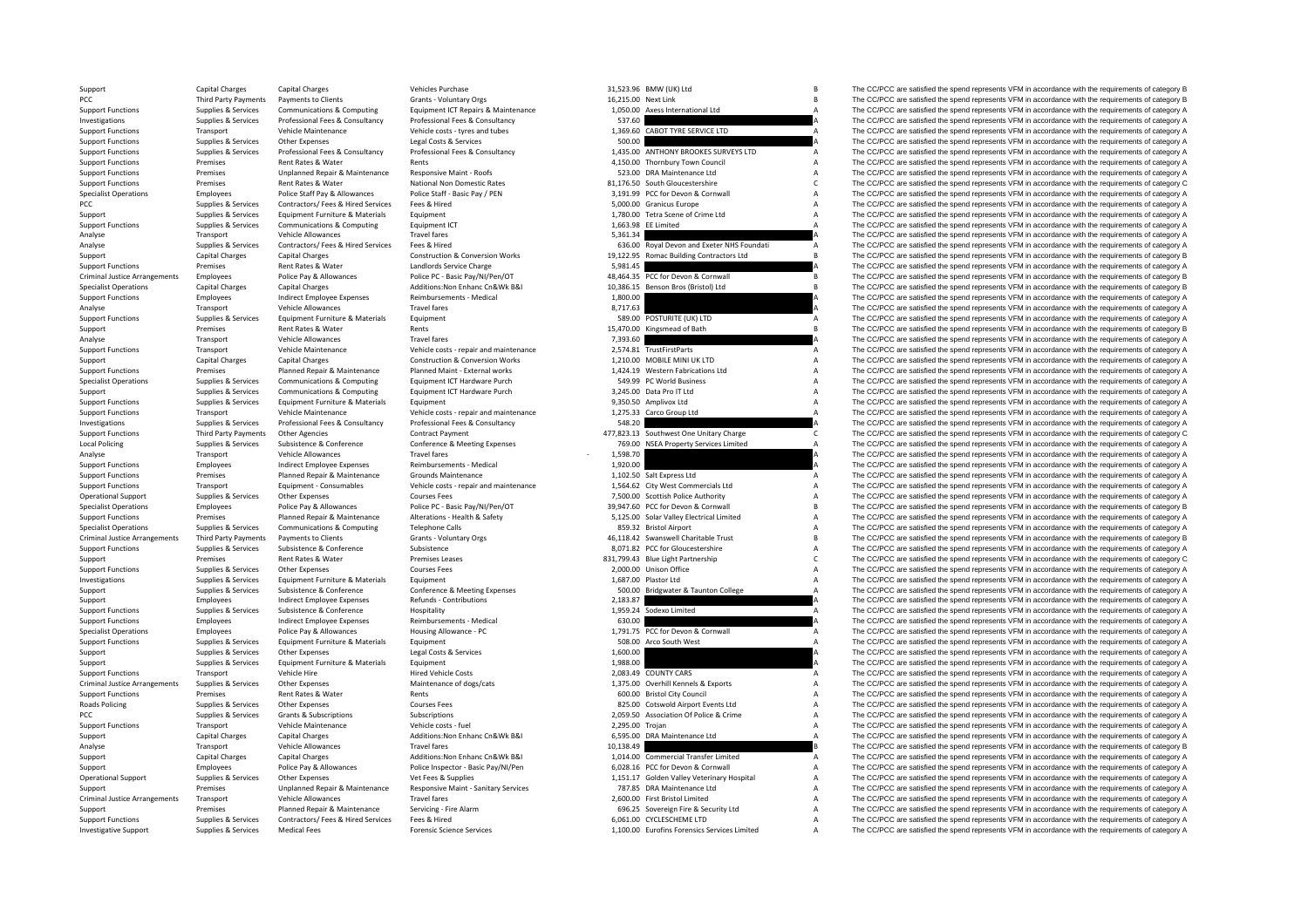PCC Third Party Payments Criminal JusticeLocal Policing Criminal JusticeCriminal Justice**Roads Policing** Criminal Justice

|                       | 31,523.96 BMW (UK) Ltd                                             | B      |
|-----------------------|--------------------------------------------------------------------|--------|
| 16,215.00 Next Link   |                                                                    | B      |
| 1,050.00              | Axess International Ltd                                            | Δ      |
| 537.60<br>1,369.60    | CABOT TYRE SERVICE LTD                                             | A<br>A |
| 500.00                |                                                                    | A      |
| 1,435.00              | ANTHONY BROOKES SURVEYS LTD                                        | A      |
|                       | 4,150.00 Thornbury Town Council                                    | A      |
|                       | 523.00 DRA Maintenance Ltd                                         | A      |
|                       | 81,176.50 South Gloucestershire                                    | C      |
|                       | 3,191.99 PCC for Devon & Cornwall                                  | A      |
|                       | 5,000.00 Granicus Europe                                           | A      |
| 1,780.00              | Tetra Scene of Crime Ltd                                           | A      |
|                       | 1,663.98 EE Limited                                                | A      |
| 5,361.34              |                                                                    | A      |
| 636.00                | Royal Devon and Exeter NHS Foundati                                | A<br>B |
| 19.122.95             | Romac Building Contractors Ltd                                     | A      |
| 5,981.45<br>48,464.35 | PCC for Devon & Cornwall                                           | B      |
| 10.386.15             | Benson Bros (Bristol) Ltd                                          | B      |
| 1,800.00              |                                                                    | A      |
| 8,717.63              |                                                                    | A      |
| 589.00                | POSTURITE (UK) LTD                                                 | A      |
| 15,470.00             | Kingsmead of Bath                                                  | B      |
| 7,393.60              |                                                                    | A      |
| 2,574.81              | <b>TrustFirstParts</b>                                             | A      |
|                       | 1,210.00 MOBILE MINI UK LTD                                        | A      |
|                       | 1,424.19 Western Fabrications Ltd                                  | A      |
|                       | 549.99 PC World Business                                           | A<br>A |
|                       | 3,245.00 Data Pro IT Ltd                                           | A      |
| 9,350.50<br>1,275.33  | Amplivox Ltd<br>Carco Group Ltd                                    | A      |
| 548.20                |                                                                    | A      |
| 477,823.13            | Southwest One Unitary Charge                                       | C      |
| 769.00                | <b>NSEA Property Services Limited</b>                              | A      |
| 1,598.70              |                                                                    | A      |
| 1,920.00              |                                                                    | A      |
|                       | 1,102.50 Salt Express Ltd                                          | A      |
|                       | 1,564.62 City West Commercials Ltd                                 | A      |
|                       | 7,500.00 Scottish Police Authority                                 | A      |
|                       | 39,947.60 PCC for Devon & Cornwall                                 | B      |
|                       | 5,125.00 Solar Valley Electrical Limited<br>859.32 Bristol Airport | A<br>A |
|                       | 46,118.42 Swanswell Charitable Trust                               | B      |
|                       | 8,071.82 PCC for Gloucestershire                                   | A      |
|                       | 831,799.43 Blue Light Partnership                                  | C      |
|                       | 2,000.00 Unison Office                                             | A      |
| 1,687.00              | Plastor Ltd                                                        | A      |
| 500.00                | Bridgwater & Taunton College                                       | A      |
| 2,183.87              |                                                                    | A      |
| 1,959.24              | Sodexo Limited                                                     | A      |
| 630.00                |                                                                    | A      |
|                       | 1,791.75 PCC for Devon & Cornwall                                  | A      |
| 508.00<br>1,600.00    | Arco South West                                                    | A<br>A |
| 1,988.00              |                                                                    | A      |
| 2.083.49              | <b>COUNTY CARS</b>                                                 | A      |
|                       | 1,375.00 Overhill Kennels & Exports                                | A      |
|                       | 600.00 Bristol City Council                                        | Δ      |
|                       | 825.00 Cotswold Airport Events Ltd                                 | A      |
| 2,059.50              | Association Of Police & Crime                                      | A      |
| 2,295.00              | Trojan                                                             | A      |
| 6,595.00              | DRA Maintenance Ltd                                                | A      |
| 10,138.49             |                                                                    | B      |
|                       | 1,014.00 Commercial Transfer Limited                               | A      |
|                       | 6,028.16 PCC for Devon & Cornwall                                  | A      |
|                       | 1,151.17 Golden Valley Veterinary Hospital                         | A      |
|                       | 787.85 DRA Maintenance Ltd<br>2,600.00 First Bristol Limited       | A<br>A |
|                       | 696.25 Sovereign Fire & Security Ltd                               | A      |
|                       | 6,061.00 CYCLESCHEME LTD                                           | A      |
|                       | 1,100.00 Eurofins Forensics Services Limited                       | A      |
|                       |                                                                    |        |

Support Capital Charges Capital Charges Scale and Support Scale and Members 21,523.96 BMW (UK) Ltd B The CC/PCC are satisfied the spend represents VFM in accordance with the requirements of category B Payments to Clients Clients Control of Grants - Voluntary Orgs 16,215.00 Next Link B The CC/PCC are satisfied the spend represents VFM in accordance with the requirements of category B 1.050.00 Next Link 1.050.00 Axess Int Support Functions Supplies & Services Communications & Computing Equipment ICT Repairs & Maintenance 1,050.00 Axess International Ltd a The CC/PCC are satisfied the spend represents VFM in accordance with the requirements The CC/PCC are satisfied the spend represents VFM in accordance with the requirements of category A Support Functions Transport Vehicle Maintenance Vehicle costs – tyres and tubes 1,369.60 CABOT TYRE SERVICE LTD A The CC/PCC are satisfied the spend represents VFM in accordance with the requirements of category A Support Support Functions Supplies & Services Other Expenses Legal Costs & Services Legal Costs & Services Consultancy<br>Support Functions Support Functions Services Support Professional Fees & Consultancy Professional Fees & Consul Supplies & Services Professional Fees & Consultancy Professional Fees & Consultancy Professional Fees & Consultancy Professional Fees & Consultancy 1,435.00 ANTHONY BROOKES SURVEYS LTD A The CC/PCC are satisfied the spend Support Functions Premises Rent Rates & Water Rents Rents Rents Rents Rents Rents Rents Rents Rents Rents Rents Rents Rents Rents A The CC/PCC are satisfied the spend represents VFM in accordance with the requirements of c Premises Unplanned Repair & Maintenance Responsive Maint - Roofs 523.00 DRA Maintenance Ltd A The CC/PCC are satisfied the spend represents VFM in accordance with the requirements of category A Support Functions Premises Rent Rates & Water Mational Non Domestic Rates 81,176.50 South Gloucestershire C The CC/PCC are satisfied the spend represents VFM in accordance with the requirements of category C National Non D Employees Police Staff Pay & Allowances Police Staff - Basic Pay / PEN 3,191.99 PCC for Devon & Cornwall A The CC/PCC are satisfied the spend represents VFM in accordance with the requirements of category A PCC Supplies & Services Contractors/ Fees & Hired Services Fees & Hired Services Fees & Hired Services Fees & Hired Services Fees & Hired Services Fees & Hired Services Fees & Hired Services Fees & Hired Services And Servi Support Supplies & Services Equipment Furniture & Materials Equipment 1,780.00 Tetra Scene of Crime Ltd A The CC/PCC are satisfied the spend represents VFM in accordance with the requirements of category A Support Functions Supplies & Services Communications & Computing Equipment ICT 1,663.98 EE Limited A The CC/PCC are satisfied the spend represents VFM in accordance with the requirements of category A The CC/PCC are satisf Analyse Transport Vehicle Allowances Travel fares Travel fares 5,361.34 A The CC/PCC are satisfied the spend represents VFM in accordance with the requirements of category A Supplies Services Contractors/ Fees & Hired Services Fees & Hired Services Fees & Hired 636.00 Royal Devon and Exeter NHS Foundati A The CC/PCC are satisfied the spend represents VFM in accordance with the requirements of Support Capital Charges Capital Charges Construction & Conversion Works 19,122.95 Romac Building Contractors Ltd B The CC/PCC are satisfied the spend represents VFM in accordance with the requirements of category B Support Functions Premises Rent Rates & Water Landlords Service Charge 5,981.45 A The CC/PCC are satisfied the spend represents VFM in accordance with the requirements of category A The CC/PCC are satisfied the spend repre Arrangements Employees Police Pay & Allowances Police PC - Basic Pay/NI/Pen/OT 48,464.35 PCC for Devon & Cornwall B The CC/PCC are satisfied the spend represents VFM in accordance with the requirements of category B<br>Additi The CC/PCC are satisfied the spend represents VFM in accordance with the requirements of category B Support Functions Employees Indirect Employee Expenses Reimbursements - Medical 1,800.00 1,800.00 A The CC/PCC are satisfied the spend represents VFM in accordance with the requirements of category A Analyse Transport Vehicle Allowances Travel fares Travel fares and the spend of the CC/PCC are satisfied the spend represents VFM in accordance with the requirements of category A<br>Support Functions Services Followances Fun Support Functions Supporters Support Functions Equipment Equipment Equipment Samples and the COPCC are satisfied the spend represents VFM in accordance with the requirements of category A Support Premises Rent Rates & Water Rents Rents Rents Rents Rents Rents Rents Rents Rents Rents Rents 15,470.00 Kingsmead of Bath B The CC/PCC are satisfied the spend represents VFM in accordance with the requirements of c Analyse Transport Vehicle Allowances Travel fares Travel fares 7,393.60 A The CC/PCC are satisfied the spend represents VFM in accordance with the requirements of category A Support Functions Transport Vehicle Maintenance Vehicle costs ‐ repair and maintenance 2,574.81 TrustFirstParts A The CC/PCC are satisfied the spend represents VFM in accordance with the requirements of category A Construc Support Capital Charges Capital Charges Capital Charges Construction & Conversion Works 1,210.00 MOBILE MINI UK LTD A The CC/PCC are satisfied the spend represents VFM in accordance with the requirements of category A<br>Supp  $S_{\text{nonlocal}}$  Premises Planned Repair Repair Maint – External works 1,424.19 Western Fabrications Ltd A The CC/PCC are satisfied the spend represents VFM in accordance with the requirements of category A The CC/PCC are sati Specialist Operations Supplies & Services Communications & Computing Equipment ICT Hardware Purch 549.99 PC World Business A The CC/PCC are satisfied the spend represents VFM in accordance with the requirements of category Support Supplies & Services Communications & Computing Equipment ICT Hardware Purch 3,245.00 Data Pro IT Ltd A The CC/PCC are satisfied the spend represents VFM in accordance with the requirements of category A Support Functions Supplies & Services Equipment Eurniture & Materials Equipment Equipment Equipment equirements of category A The CC/PCC are satisfied the spend represents VFM in accordance with the requirements of categor Support Functions Transport Vehicle Maintenance Vehicle costs – repair and maintenance 1,275.33 Carco Group Ltd A The CC/PCC are satisfied the spend represents VFM in accordance with the requirements of category A The CC/P Investigations Supplies & Services Professional Fees & Consultancy Professional Fees & Consultancy Professional Fees & Consultancy Professional Fees & Consultancy Professional Fees & Consultancy Professional Fees & Consult Support Functions Third Party Payments Other Agencies Contract Payment Contract Payment 477,823.13 Southwest One Unitary Charge C The CC/PCC are satisfied the spend represents VFM in accordance with the requirements of cat The CC/PCC are satisfied the spend represents VFM in accordance with the requirements of category A Analyse Transport Vehicle Allowances Travel fares Travel fares 1,598.70 – 1,598.70 – 1,598.70 – The CC/PCC are satisfied the spend represents VFM in accordance with the requirements of category A<br>The CC/PCC are satisfied t Support Functions Employees Indirect Employee Expenses Reimbursements - Medical 1,920.00 A The CC/PCC are satisfied the spend represents VFM in accordance with the requirements of category A<br>Support Functions Premiers And Premises Planned Repair & Maintenance Grounds Maintenance 1,102.50 Salt Express Ltd A The CC/PCC are satisfied the spend represents VFM in accordance with the requirements of category A Transport Equipment-Consumables Vehicle costs-repair and maintenance and a maisten and the search of the CCPCC are satisfied the spend represents VFM in accordance with the requirements of category A Courses Fees Courses F The CC/PCC are satisfied the spend represents VFM in accordance with the requirements of category A Specialist Operations Employees Police Pay & Allowances Police PC - Basic Pay/NI/Pen/OT 39,947.60 PCC for Devon & Cornwall B The CC/PCC are satisfied the spend represents VFM in accordance with the requirements of category Support Functions Premises Planned Repair & Maintenance Alterations Health & Safety 5.125.00 Solar Valley Electrical Limited A The CC/PCC are satisfied the spend represents VFM in accordance with the requirements of catego Specialist Operations Supplies & Services Communications & Computing Telephone Calls 859.32 Bristol Airport A The CC/PCC are satisfied the spend represents VFM in accordance with the requirements of category A Third Party Payments Third Party Payments to Clients Clients Grants - Voluntary Orgs 67 1992 and the spend represents of category B The CC/PCC are satisfied the spend represents VFM in accordance with the requirements of c Support Functions Supplies & Services Subsistence Subsistence Subsistence Subsistence Subsistence Subsistence Subsistence Subsistence Subsistence Subsistence Subsistence Subsistence Subsistence Subsistence Subsistence Subs Support Premises Rent Rates & Water Premises Leases 831,799.43 Blue Light Partnership C The CC/PCC are satisfied the spend represents VFM in accordance with the requirements of category C Support Functions Supplies & Services Other Expenses Courses Fees 2,000.00 Unison Office 2,000.00 Unison Office<br>
2,000.00 Unison Office A The CC/PCC are satisfied the spend represents VFM in accordance with the requirement Investigations Supplies & Supplies & Supplies & Supplies & Supplierent Equipment Equipment Equipment Equipment Equipment Equipment Equipment Equipment Pure in the CC/PCC are satisfied the spend represents VFM in accordance Support Support Support Support Support Conference Conference Conference Conference Conference Conference Conference Conference Conference Conference Conference Conference Conference Conference Conference Conference Confer Support Employees Indirect Employee Expenses Refunds - Contributions 2,183.87 Contributions 2,183.87 Contributions 2,193.87 A The CC/PCC are satisfied the spend represents VFM in accordance with the requirements of categor The CC/PCC are satisfied the spend represents VFM in accordance with the requirements of category A Support Functions Employees and indirect Employee Expenses Reimbursements - Medical 630.00 Medical 630.00 Medical 630.00 Medical The CC/PCC are satisfied the spend represents VFM in accordance with the requirements of cate Specialist Operations Employees Police Pay & Allowances Housing Allowance - PC 1,791.75 PCC for Devon & Cornwall A The CC/PCC are satisfied the spend represents VFM in accordance with the requirements of category A Special Support Functions Supplies Services Equipment Functions & Materials Equipment Supplies CORO Arco South West A The CC/PCC are satisfied the spend represents VFM in accordance with the requirements of category A The CC/PCC a Support Supplies & Services Other Expenses Legal Costs & Services Legal Costs & Services Legal Costs & Services 1,600.00 A The CC/PCC are satisfied the spend represents VFM in accordance with the requirements of category A Support Supplies & Services Equipment Eurotive & Materials Equipment Equipment and the equipment and the spend represent and the control of the CC/PCC are satisfied the spend represents VFM in accordance with the requireme Support Functions Transport Vehicle Hire Hire Hired Vehicle Costs 2,083.49 COUNTY CARS A The CC/PCC are satisfied the spend represents VFM in accordance with the requirements of category A Arrangements of the COMPOS Maintenance of dogs/cats and the services and the COMPOS of the COMPOS are satisfied the spend represents VFM in accordance with the requirements of category A The COMPC are satisfied the spend r Support Functions Premises Rent Rates & Water Rents Rents Rents Rents Rents Rents Rents Rent Rents Rent Rents Rent Rents Rent Rents Rent Rents Rent Rents Rent Rents Rent Rent Rents Rent Rents Rents Rents Rent Rents Rent Re Policing Supplies & Services Other Expenses Courses Fees 825.00 Cotswold Airport Events Ltd A The CC/PCC are satisfied the spend represents VFM in accordance with the requirements of category A<br>Supplies & Services Grants & PCC Supplies & Services Grants & Subscriptions Subscriptions Subscriptions Subscriptions Subscriptions and the content of Police & Crime A The CC/PCC are satisfied the spend represents VFM in accordance with the requiremen Support Functions Transport Vehicle Maintenance Vehicle costs - fuel Vehicle costs - fuel Vehicle costs - fuel Vehicle costs - fuel 2,295.00 Trojan A The CC/PCC are satisfied the spend represents VFM in accordance with the Capital Charges Capital Charges Additions:Non Enhanc Cn&Wk B&I 6,595.00 DRA Maintenance Ltd A The CC/PCC are satisfied the spend represents VFM in accordance with the requirements of category A Analyse Transport Vehicle Allowances Travel fares Travel fares 10,138.49 10,138.49 B The CC/PCC are satisfied the spend represents VFM in accordance with the requirements of category B<br>Support Capital Charges Capital Charg Support Capital Charges Capital Charges Capital Charges Additions:Non Enhanc Cn&Wk B&I 1,014.00 Commercial Transfer Limited A The CC/PCC are satisfied the spend represents VFM in accordance with the requirements of categor Support Employees Police Pay & Allowances Police Inspector - Basic Pay/NI/Pen 6,028.16 PCC for Devon & Cornwall A The CC/PCC are satisfied the spend represents VFM in accordance with the requirements of category A Operational Support Supplies & Services Other Expenses Vet Fees & Supplies Vet Fees & Supplies 1,151.17 Golden Valley Veterinary Hospital A The CC/PCC are satisfied the spend represents VFM in accordance with the requireme Support Premises Unplanned Repair & Maintenance Responsive Maint - Sanitary Services 787.85 DRA Maintenance Ltd A The CC/PCC are satisfied the spend represents VFM in accordance with the requirements of category A Travel A Transport Vehicle Allowances Travel fares 2,600.00 First Bristol Limited A The CC/PCC are satisfied the spend represents VFM in accordance with the requirements of category A Support Premises Planned Repair & Maintenance Servicing - Fire Alarm 696.25 Sovereign Fire & Security Ltd A The CC/PCC are satisfied the spend represents VFM in accordance with the requirements of category A Support Functi The CC/PCC are satisfied the spend represents VFM in accordance with the requirements of category A Investigative Support Supplies & Services Medical Fees Forensic Science Services Forensic Science Services Science Services and the company of the COPCC are satisfied the spend represents VFM in accordance with the require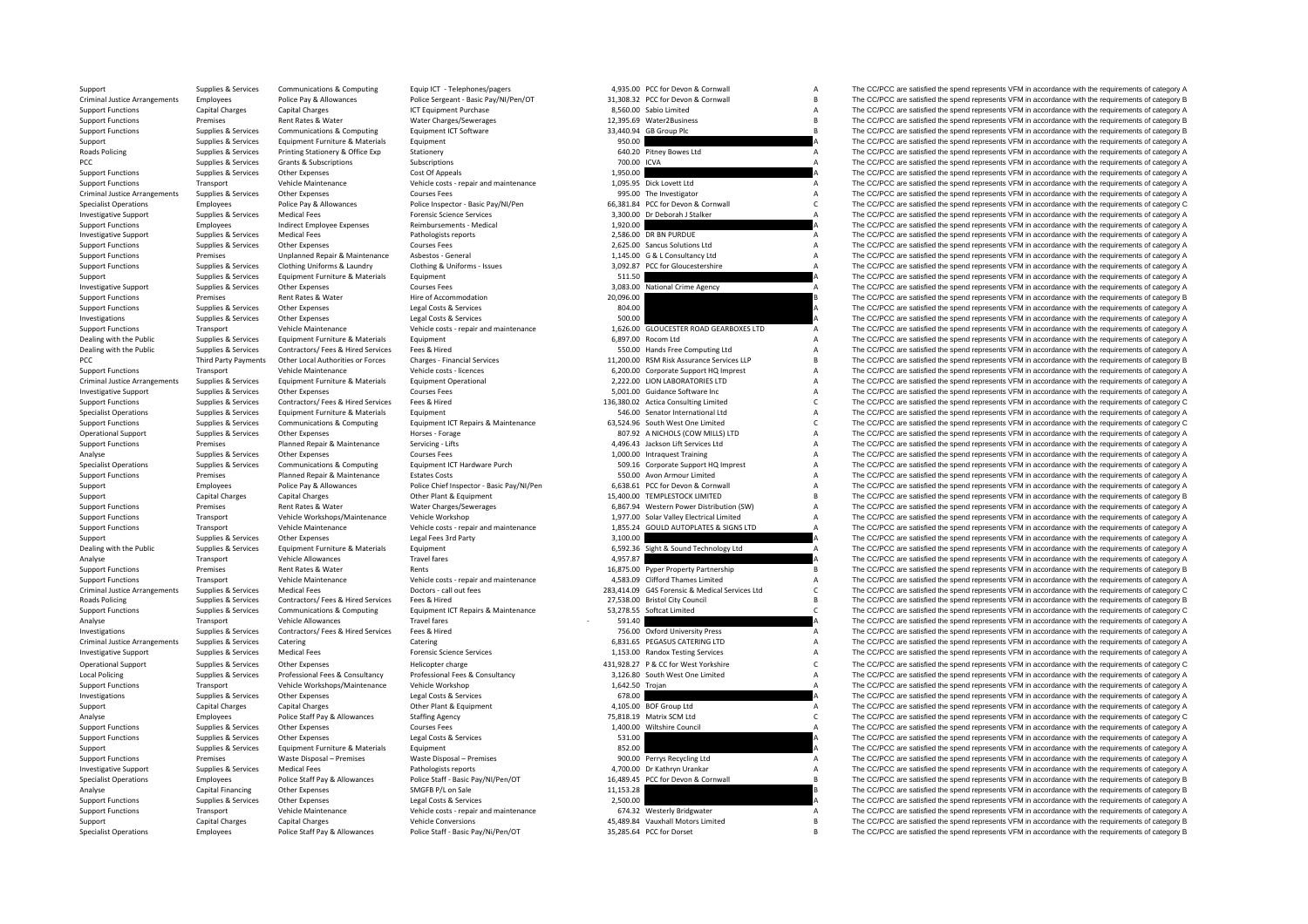Criminal Justice**Roads Policing** Criminal JusticePCC Third Party Payments Criminal JusticeCriminal Justice**Roads Policing** Criminal Justice**Local Policing** 

| 4,935.00    | PCC for Devon & Cornwall                  | A |
|-------------|-------------------------------------------|---|
| 31,308.32   | PCC for Devon & Cornwall                  | B |
|             | 8,560.00 Sabio Limited                    | A |
| 12,395.69   | Water2Business                            | R |
| 33,440.94   | GB Group Plc                              | R |
| 950.00      |                                           | Δ |
|             |                                           | A |
| 640.20      | Pitney Bowes Ltd                          |   |
| 700.00 ICVA |                                           | A |
| 1,950.00    |                                           | A |
| 1,095.95    | Dick Lovett Ltd                           | A |
|             | 995.00 The Investigator                   | Δ |
| 66,381.84   | PCC for Devon & Cornwall                  | Ċ |
| 3,300.00    | Dr Deborah J Stalker                      | A |
| 1,920.00    |                                           | A |
| 2,586.00    | <b>DR BN PURDUE</b>                       | Δ |
|             |                                           | A |
|             | 2,625.00 Sancus Solutions Ltd             | Δ |
|             | 1,145.00 G & L Consultancy Ltd            |   |
| 3,092.87    | PCC for Gloucestershire                   | A |
| 511.50      |                                           | A |
|             | 3,083.00 National Crime Agency            | A |
| 20,096.00   |                                           | B |
| 804.00      |                                           | A |
| 500.00      |                                           | Δ |
| 1,626.00    | GLOUCESTER ROAD GEARBOXES LTD             | A |
| 6,897.00    | Rocom Ltd                                 | A |
|             | 550.00 Hands Free Computing Ltd           | A |
|             | 11,200.00 RSM Risk Assurance Services LLP | B |
|             |                                           |   |
|             | 6,200.00 Corporate Support HQ Imprest     | A |
|             | 2,222.00 LION LABORATORIES LTD            | А |
|             | 5,001.00 Guidance Software Inc            | A |
|             | 136,380.02 Actica Consulting Limited      | C |
|             | 546.00 Senator International Ltd          | A |
|             | 63,524.96 South West One Limited          | Ċ |
|             | 807.92 A NICHOLS (COW MILLS) LTD          | A |
| 4,496.43    | Jackson Lift Services Ltd                 | A |
|             | 1,000.00 Intraquest Training              | A |
|             | 509.16 Corporate Support HQ Imprest       | A |
|             |                                           | A |
|             | 550.00 Avon Armour Limited                | A |
| 6,638.61    | PCC for Devon & Cornwall                  |   |
|             | 15,400.00 TEMPLESTOCK LIMITED             | R |
| 6,867.94    | Western Power Distribution (SW)           | Δ |
|             | 1,977.00 Solar Valley Electrical Limited  | A |
| 1,855.24    | <b>GOULD AUTOPLATES &amp; SIGNS LTD</b>   | A |
| 3,100.00    |                                           | A |
| 6,592.36    | Sight & Sound Technology Ltd              | A |
| 4,957.87    |                                           | A |
| 16,875.00   | Pyper Property Partnership                | B |
|             | 4,583.09 Clifford Thames Limited          | Δ |
|             | G4S Forensic & Medical Services Ltd       | Ċ |
| 283,414.09  |                                           |   |
| 27.538.00   | <b>Bristol City Council</b>               | B |
| 53,278.55   | Softcat Limited                           | c |
| 591.40      |                                           | A |
| 756.00      | <b>Oxford University Press</b>            | A |
| 6,831.65    | PEGASUS CATERING LTD                      | A |
|             | 1,153.00 Randox Testing Services          | A |
| 431,928.27  | P & CC for West Yorkshire                 | Ċ |
| 3,126.80    | South West One Limited                    | A |
|             |                                           | A |
| 1,642.50    | Trojan                                    |   |
|             |                                           |   |
| 678.00      |                                           | A |
| 4,105.00    | <b>BOF Group Ltd</b>                      | A |
| 75,818.19   | Matrix SCM Ltd                            | C |
| 1,400.00    | Wiltshire Council                         | Δ |
| 531.00      |                                           | Δ |
|             |                                           | A |
| 852.00      |                                           | A |
|             | 900.00 Perrys Recycling Ltd               |   |
| 4.700.00    | Dr Kathryn Urankar                        | A |
| 16,489.45   | PCC for Devon & Cornwall                  | B |
| 11,153.28   |                                           | B |
| 2,500.00    |                                           | Δ |
| 674.32      | <b>Westerly Bridgwater</b>                | A |
| 45,489.84   | Vauxhall Motors Limited                   | B |
| 35,285.64   | PCC for Dorset                            | B |

Support Supplies & Services Communications & Computing Equip ICT - Telephones/pagers 4,935.00 PCC for Devon & Cornwall A The CC/PCC are satisfied the spend represents VFM in accordance with the requirements of category A Arrangements Employees Police Pay & Allowances Police Sergeant - Basic Pay/NI/Pen/OT 31,308.32 PCC for Devon & Cornwall B The CC/PCC are satisfied the spend represents VFM in accordance with the requirements of category B Support Functions Capital Charges Capital Charges Capital Charges Capital Charges ICT Equipment Purchase 8,560.00 Sabio Limited A Support Functions A The CC/PCC are satisfied the spend represents VFM in accordance with the The CC/PCC are satisfied the spend represents VFM in accordance with the requirements of category B Support Functions Supplies & Services Communications & Computing Equipment ICT Software Functions Computing Computing Equipment ICT Software 33,440.94 GB Group Plc B The CC/PCC are satisfied the spend represents VFM in acc Supplies & Services Equipment Furniture & Materials Equipment Equipment 950.00 950.00 A The CC/PCC are satisfied the spend represents VFM in accordance with the requirements of category A Supplies & Services Printing Stationery & Office Exp Stationery 640.20 Pitney Bowes Ltd A The CC/PCC are satisfied the spend represents VFM in accordance with the requirements of category A PCC Supplies Aservices Grants & Subscriptions Subscriptions Subscriptions Subscriptions Subscriptions Subscriptions Subscriptions and the media of the spend represents of category A The CC/PCC are satisfied the spend repre The CC/PCC are satisfied the spend represents VFM in accordance with the requirements of category A Support Functions Transport Vehicle Maintenance Vehicle costs - repair and maintenance Vehicle costs - repair and maintenance 1,095.95 Dick Lovett Ltd A The CC/PCC are satisfied the spend represents VFM in accordance with Other Expenses Courses Fees Courses Fees and the Supplies of the Supplies of the Investigator Courses of Courses Fees 995.00 The Investigator A The CC/PCC are satisfied the spend represents VFM in accordance with the requi Specialist Operations Employees Police Pay & Allowances Police Inspector - Basic Pay/NI/Pen 66.381.84 PCC for Devon & Cornwall C The CC/PCC are satisfied the spend represents VFM in accordance with the requirements of cate Investigative Support Support Support Support Medical Fees Forensic Science Services Forensic Science Services 3,300.00 Dr Deborah J Stalker A The CC/PCC are satisfied the spend represents VFM in accordance with the requir Support Functions Employees Indirect Employee Expenses Reimbursements - Medical 1,920.00 A The CC/PCC are satisfied the spend represents VFM in accordance with the requirements of category A<br>1999-1999-1999-11-11-11-11-11-1 Investigative Support Supplies & Services Medical Fees Pathologists reports 2,586.00 DR BN PURDUE A The CC/PCC are satisfied the spend represents VFM in accordance with the requirements of category A Support Functions Supplies & Services Other Expenses Courses Fees Courses Fees 2,625.00 Sancus Solutions Ltd A The CC/PCC are satisfied the spend represents VFM in accordance with the requirements of category A Support Fun Support Functions Premises Unplanned Repair & Maintenance Asbestos ‐ General 1,145.00 G & L Consultancy Ltd A The CC/PCC are satisfied the spend represents VFM in accordance with the requirements of category A Support Func Sunner Europeant Contract Contract Contract Contract Contract Contract Contract Contract Contract Contract Contract Contract Contract Contract Contract Contract Contract Contract Contract Contract Contract Contract Contrac Support Supplies & Services Equipment Furniture & Materials Equipment Equipment Equipment Equipment Equipment Support 511.50 a The CC/PCC are satisfied the spend represents VFM in accordance with the requirements of catego The CC/PCC are satisfied the spend represents VFM in accordance with the requirements of category A Support Functions Premises Rent Rates & Water Hire of Accommodation Hire of Accommodation 20,096.00 20,096.00 B The CC/PCC are satisfied the spend represents VFM in accordance with the requirements of category B and the re Support Functions Supplies & Services Other Expenses Legal Costs & Services Legal Costs & Services Legal Costs & Services 804.00 A The CC/PCC are satisfied the spend represents VFM in accordance with the requirements of ca Investigations Supplies Services Other Expenses Legal Costs & Services Supplies COSTS CONFIDENTIES CONFIDENTIES OF CONFIDENTIES OF CONFIDENTIES OF CONFIDENTIES OF CONFIDENTIES OF DETAILS ON A The COPCC are satisfied the sp Transport Vehicle Maintenance Vehicle costs - repair and maintenance 1,626.00 GLOUCESTER ROAD GEARBOXES LTD A The CC/PCC are satisfied the spend represents VFM in accordance with the requirements of category A<br>Dealing with The CC/PCC are satisfied the spend represents VFM in accordance with the requirements of category A Dealing with the Public Supplies & Services Contractors/ Fees & Hired Services Fees & Hired Services Fees & Hired Services Fees & Hired Services Fees & Hired Services Services Contractors/ Fees & Hired Services Fees & Hire Party Party Party Payments Other Local Authorities or Forces Charges Financial Services 11,200.00 RSM Risk Assurance Services LLP B The CC/PCC are satisfied the spend represents VFM in accordance with the requirements of c Support Functions Transport Vehicle Maintenance Vehicle costs Vehicle costs Vehicle costs Vehicle Costs Vehicle Costs Vehicle Costs Vehicle Costs Vehicle Costs Vehicle Costs Vehicle Costs Vehicle Costs Vehicle Costs Vehicl Arrangements Supplies & Services Equipment Furniture & Materials Equipment Operational Equipment Operational 2,222.00 LION LABORATORIES LTD A The CC/PCC are satisfied the spend represents VFM in accordance with the require The CC/PCC are satisfied the spend represents VFM in accordance with the requirements of category A Support Functions Supplies & Services Contractors/ Fees & Hired Services Fees & Hired 136,380.02 Actica Consulting Limited C The CC/PCC are satisfied the spend represents VFM in accordance with the requirements of category Specialist Operations Supplies & Services Equipment Furniture & Materials Equipment Equipment Equipment Equipment Equipment Equipment Equipment Equipment Supplies and the Senator International Ltd A The CC/PCC are satisfie Supplies Supplies & Services Communications & Computing Equipment ICT Repairs & Maintenance 63,524.96 South West One Limited Computing Computer COPCC are satisfied the spend represents VFM in accordance with the requiremen Operational Support Supplies & Services Other Expenses Morses Forage Horses - Forage Horses Forage 807.92 A NICHOLS (COW MILLS) LTD A The CC/PCC are satisfied the spend represents VFM in accordance with the requirements of Premises Planned Repair & Maintenance Servicing - Lifts Service Ltd A496.43 Jackson Lift Services Ltd A The CC/PCC are satisfied the spend represents VFM in accordance with the requirements of category A Analyse Supplies & Services Other Expenses Courses Fees Courses Fees 1,000.00 Intraquest Training A The CC/PCC are satisfied the spend represents VFM in accordance with the requirements of category A Specialist Operations Specialist Operations Supplies & Services Communications & Computing Equipment ICT Hardware Purch 509.16 Corporate Support HQ Imprest Manuforms A The CC/PCC are satisfied the spend represents VFM in accordance with the req Premises Planned Repair & Maintenance Estates Costs 650.00 Avon Armour Limited A The CC/PCC are satisfied the spend represents VFM in accordance with the requirements of category A Support Employees Police Pay & Allowances Police Chief Inspector - Basic Pay/NI/Pen 6,638.61 PCC for Devon & Cornwall A The CC/PCC are satisfied the spend represents VFM in accordance with the requirements of category B<br>Su Support Capital Charges Capital Charges Capital Charges Other Plant & Equipment 15,400.00 TEMPLESTOCK LIMITED B The CC/PCC are satisfied the spend represents VFM in accordance with the requirements of category B Support Functions Premises Rent Rates & Water Water Charges/Sewerages 6,867.94 Western Power Distribution (SW) A The CC/PCC are satisfied the spend represents VFM in accordance with the requirements of category A Support Functions Transport Vehicle Workshops/Maintenance Vehicle Workshop 1,977.00 Solar Valley Electrical Limited A The CC/PCC are satisfied the spend represents VFM in accordance with the requirements of category A Transport Vehicle Maintenance Vehicle costs repair and maintenance 1.855.24 GOULD AUTOPLATES & SIGNS LTD A The CC/PCC are satisfied the spend represents VFM in accordance with the requirements of category A Supplies & Services Other Expenses Legal Fees 3rd Party 3,100.00 3,100.00 A The CC/PCC are satisfied the spend represents VFM in accordance with the requirements of category A Dealing with the Public Cupplies & Survices Equipment Euriture & Materials Equipment Euriture and Equipment Euriture and the Supples and The CCPCC are satisfied the spend represents VFM in accordance with the requirements Analyse Transport Vehicle Allowances Travel fares Travel fares 4,957.87 A The CC/PCC are satisfied the spend represents VFM in accordance with the requirements of category A Support Functions Premises Rent Rates & Water Rents Rents Rents Rents Rents Rents 16,875.00 Pyper Property Partnership B The CC/PCC are satisfied the spend represents VFM in accordance with the requirements of category B Support Functions Transport Vehicle Maintenance Vehicle costs -repair and maintenance 4,583.09 Clifford Thames Limited A The CC/PCC are satisfied the spend represents VFM in accordance with the requirements of category A D The CC/PCC are satisfied the spend represents VFM in accordance with the requirements of category C Policing Supplies & Services Contractors/ Fees & Hired Services Fees & Hired The Services Fees & Hired 27,538.00 Bristol City Council Council B The CC/PCC are satisfied the spend represents VFM in accordance with the requi Suppliers & Services Communications & Computing Equipment ICT Repairs & Maintenance 53,278.55 Softcat Limited Care COPCC are satisfied the spend represents VFM in accordance with the requirements of category C Analyse Transport Vehicle Allowances Travel fares Travel fares and the spend of the CC/PCC are satisfied the spend represents VFM in accordance with the requirements of category A<br>Analyse Travel in a spend represents VFM i Investigations Supplies & Services Contractors/ Fees & Hired Services Fees & Hired 756.00 Oxford University Press A The CC/PCC are satisfied the spend represents VFM in accordance with the requirements of category A Arrangements Supplies Catering Catering Catering Catering Catering Catering Catering Catering Catering Catering Catering Catering Catering Catering Catering Catering Catering Catering Catering Catering Catering Catering Ca Investigative Support Supplies & Services Medical Fees Forensic Science Services Forensic Science Services 1,153.00 Randox Testing Services A The CC/PCC are satisfied the spend represents VFM in accordance with the require Operational Support Supplies & Services Other Expenses Helicopter charge Helicopter charge Helicopter charge 431,928.27 P & CC for West Yorkshire C The CC/PCC are satisfied the spend represents VFM in accordance with the r The CC/PCC are satisfied the spend represents VFM in accordance with the requirements of category A Support Functions Transport Vehicle Workshops/Maintenance Vehicle Workshop 1,642.50 Troian A The CC/PCC are satisfied the spend represents VFM in accordance with the requirements of category A The CC/PCC are satisfied the Investigations Supplies & Services Other Expenses And Legal Costs & Services Calegory A Capital Costs & Services Capital Costs & Services Capital Costs & Services 678.00 Capital Costs and The CC/PCC are satisfied the spend Support Capital Charges Capital Charges Other Plant & Equipment 4,105.00 BOF Group Ltd A The CC/PCC are satisfied the spend represents VFM in accordance with the requirements of category A Analyse Employees Police Staff Pay & Allowances Staffing Agency 75,818.19 Matrix SCM Ltd C The CC/PCC are satisfied the spend represents VFM in accordance with the requirements of category C C C C C C C C C C C C C C C C C Support Functions Supplies & Services Other Expenses Courses Fees Courses Courses Courses Courses Courses Courses Council and Council A The CC/PCC are satisfied the spend represents VFM in accordance with the requirements Support Functions Supplies Services Characters Control and Costs & Services 531.00 A The CC/PCC are satisfied the spend represents VFM in accordance with the requirements of category A The CC/PCC are satisfied the spend re Support Supplies Agencies Supplies & Services Equipment Eurniture & Materials Equipment Equipment Equipment Equipment Equipment Equipment and Equipment and the Services and the Service of Support Europe of the Service of T Premises Waste Disposal – Premises Waste Disposal – Premises 900.00 Perrys Recycling Ltd A The CC/PCC are satisfied the spend represents VFM in accordance with the requirements of category A Investigative Support Supplies & Services Medical Fees Pathologists reports Pathologists reports A 4,700.00 Dr Kathryn Urankar A The CC/PCC are satisfied the spend represents VFM in accordance with the requirements of cate Specialist Operations Employees Police Staff Pay & Allowances Police Staff - Basic Pay/NI/Pen/OT 16,489.45 PCC for Devon & Cornwall Basic Pay/RI Perside the Specialist Operations (FM in accordance with the requirements of Capital Financing Other Expenses SMGFB P/L on Sale 11,153.28 11,153.28 B The CC/PCC are satisfied the spend represents VFM in accordance with the requirements of category B Support Functions Supplies & Services Other Expenses 2003 Legal Costs & Services 2,500.00 2,500.00 A The CC/PCC are satisfied the spend represents VFM in accordance with the requirements of category A<br>Support Functions Tra Support Transport Vehicle Maintenance Vehicle costs ‐ repair and maintenance 674.32 Westerly Bridgwater A The CC/PCC are satisfied the spend represents VFM in accordance with the requirements of category A Support Care in Support Capital Charges Capital Charges Capital Charges Vehicle Conversions Vehicle Conversions Vauxhall Motors Limited a Support B The CC/PCC are satisfied the spend represents VFM in accordance with the requirements of c Employees Police Staff Pay & Allowances Police Staff - Basic Pay/Ni/Pen/OT 35,285.64 PCC for Dorset B The CC/PCC are satisfied the spend represents VFM in accordance with the requirements of category B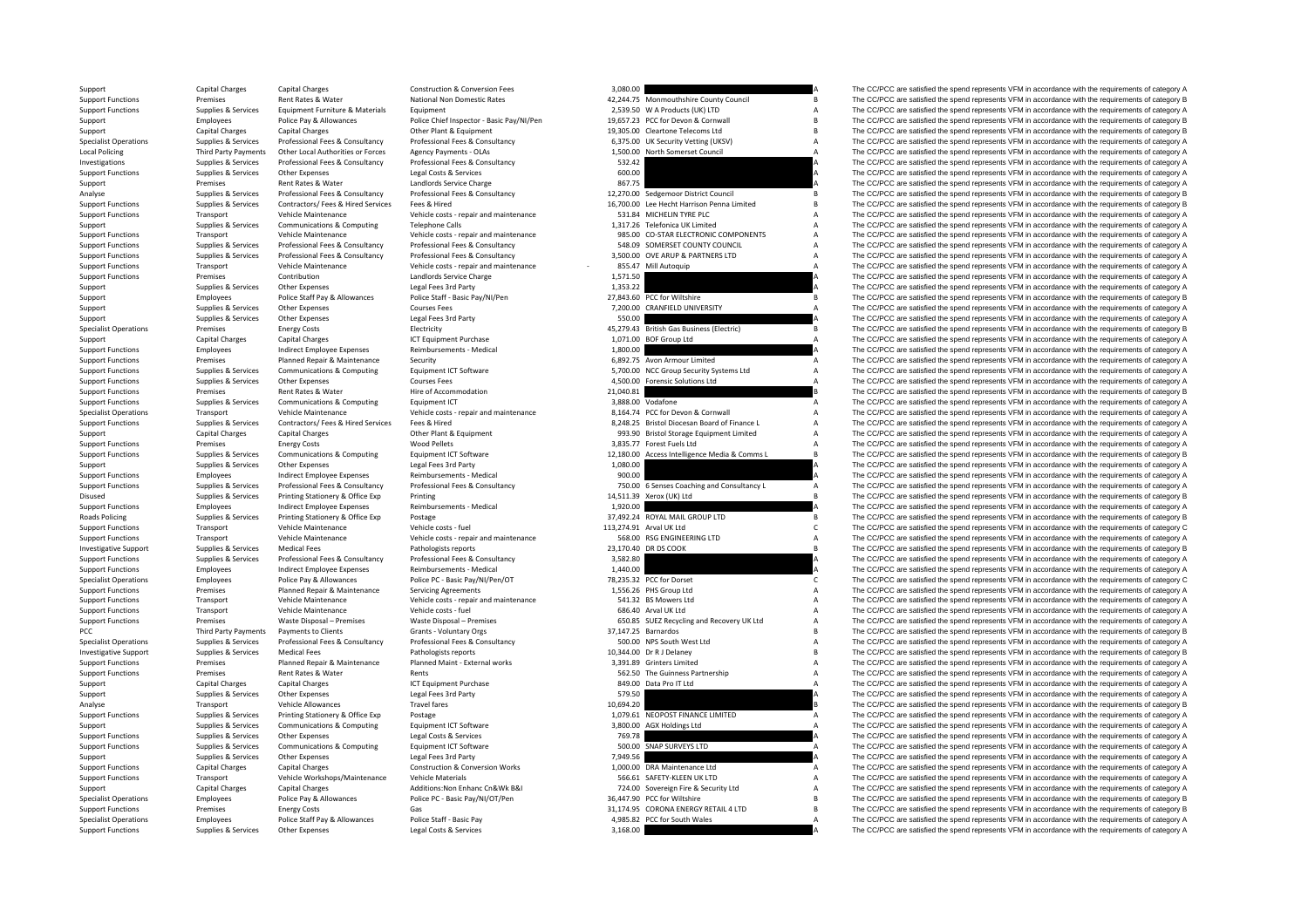**Local Policing** RoadsPCC Third Party Payments

| 3,080.00              |                                                   | А      |
|-----------------------|---------------------------------------------------|--------|
| 42,244.75             | Monmouthshire County Council                      | R      |
|                       | 2,539.50 W A Products (UK) LTD                    | А      |
|                       | 19,657.23 PCC for Devon & Cornwall                | B      |
| 19,305.00             | Cleartone Telecoms Ltd                            | R      |
|                       | 6,375.00 UK Security Vetting (UKSV)               | A      |
|                       | 1,500.00 North Somerset Council                   | Δ      |
| 532.42                |                                                   | A      |
| 600.00                |                                                   | A      |
| 867.75                |                                                   | A      |
|                       | 12,270.00 Sedgemoor District Council              | B      |
|                       | 16,700.00 Lee Hecht Harrison Penna Limited        | R      |
| 531.84                | MICHELIN TYRE PLC                                 | A      |
| 1,317.26              | <b>Telefonica UK Limited</b>                      | A      |
|                       | 985.00 CO-STAR ELECTRONIC COMPONENTS              | A      |
|                       | 548.09 SOMERSET COUNTY COUNCIL                    | A      |
|                       | 3,500.00 OVE ARUP & PARTNERS LTD                  | A      |
| 1,571.50              | 855.47 Mill Autoquip                              | A<br>A |
| 1.353.22              |                                                   | Δ      |
| 27,843.60             | PCC for Wiltshire                                 | R      |
|                       | 7,200.00 CRANFIELD UNIVERSITY                     | A      |
| 550.00                |                                                   | A      |
| 45,279.43             | British Gas Business (Electric)                   | B      |
|                       | 1,071.00 BOF Group Ltd                            | Δ      |
| 1,800.00              |                                                   | A      |
|                       | 6,892.75 Avon Armour Limited                      | A      |
|                       | 5,700.00 NCC Group Security Systems Ltd           | A      |
|                       | 4,500.00 Forensic Solutions Ltd                   | A      |
| 21,040.81             |                                                   | B      |
| 3.888.00              | Vodafone                                          | A      |
|                       | 8,164.74 PCC for Devon & Cornwall                 | A      |
|                       | 8,248.25 Bristol Diocesan Board of Finance L      | A      |
|                       | 993.90 Bristol Storage Equipment Limited          | A      |
|                       | 3,835.77 Forest Fuels Ltd                         | A      |
|                       | 12,180.00 Access Intelligence Media & Comms L     | B      |
| 1,080.00              |                                                   | A      |
| 900.00                |                                                   | Δ      |
| 750.00                | 6 Senses Coaching and Consultancy L               | А      |
|                       | 14,511.39 Xerox (UK) Ltd                          | B      |
| 1,920.00              |                                                   | A      |
| 37,492.24             | ROYAL MAIL GROUP LTD                              | R      |
|                       | 113,274.91 Arval UK Ltd                           | C      |
|                       | 568.00 RSG ENGINEERING LTD                        | A<br>R |
|                       | 23,170.40 DR DS COOK                              | A      |
| 3,582.80<br>1,440.00  |                                                   | A      |
|                       | 78,235.32 PCC for Dorset                          | Ċ      |
|                       | 1,556.26 PHS Group Ltd                            | A      |
|                       | 541.32 BS Mowers Ltd                              | A      |
|                       | 686.40 Arval UK Ltd                               | A      |
|                       | 650.85 SUEZ Recycling and Recovery UK Ltd         | A      |
|                       | 37,147.25 Barnardos                               | B      |
|                       | 500.00 NPS South West Ltd                         | A      |
|                       | 10,344.00 Dr R J Delaney                          | B      |
|                       | 3.391.89 Grinters Limited                         | A      |
| 562.50                | The Guinness Partnership                          | A      |
| 849.00                | Data Pro IT Ltd                                   | A      |
| 579.50                |                                                   | A      |
| 10,694.20             |                                                   | B      |
| 1.079.61              | NEOPOST FINANCE LIMITED                           | A      |
| 3.800.00              | <b>AGX Holdings Ltd</b>                           | Δ      |
| 769.78                |                                                   | A      |
| 500.00                | <b>SNAP SURVEYS LTD</b>                           | A      |
| 7,949.56              |                                                   | A      |
| 1,000.00              | DRA Maintenance Ltd                               | А      |
|                       | 566.61 SAFETY-KLEEN UK LTD                        | A      |
| 724.00                | Sovereign Fire & Security Ltd                     | A      |
|                       | 36,447.90 PCC for Wiltshire                       | B      |
| 31,174.95<br>4,985.82 | CORONA ENERGY RETAIL 4 LTD<br>PCC for South Wales | R<br>A |
|                       |                                                   |        |

Support Capital Charges Capital Charges Capital Charges Capital Charges Capital Charges Capital Charges Capital Charges Capital Charges Capital Charges Capital Charges Capital Construction & Conversion Fees 3,080.00 42.244 Support Functions Premises Rent Rates & Water National Non Domestic Rates 42,244.75 Monmouthshire County Council B The CC/PCC are satisfied the spend represents VFM in accordance with the requirements of category B Support Support Functions Supplies & Services Equipment Eurniture & Materials Equipment Equipment Equipment Equipment Equipment Equipment Pulce Chief Inspector - Basic Papper and Publicate Contents and Depresent and the Separate o Support Employees Police Pay & Allowances Police Chief Inspector - Basic Pay/NI/Pen 19,657.23 PCC for Devon & Cornwall B The CC/PCC are satisfied the spend represents VFM in accordance with the requirements of category B<br>S Support Capital Charges Capital Charges Capital Charges Capital Charges Other Plant & Equipment 19,305.00 Cleartone Telecoms Ltd B The CC/PCC are satisfied the spend represents VFM in accordance with the requirements of ca Specialist Operations Supplies & Services Professional Fees & Consultancy Professional Fees & Consultancy 6,375.00 UK Security Vetting (UKSV) A The CC/PCC are satisfied the spend represents VFM in accordance with the requirements of category A Policing Party Payments Other Local Authorities or Forces Agency Payments - OLAs 1,500.00 North Somerset Council A The CC/PCC are satisfied the spend represents VFM in accordance with the requirements of category A Investigations Supplies & Services Professional Fees & Consultancy Professional Fees & Consultancy Professional Fees & Consultancy Support Feeding and the CC/PCC are satisfied the spend represents VFM in accordance with th The CC/PCC are satisfied the spend represents VFM in accordance with the requirements of category A Support Premises Rent Rates & Water Landlords Service Charge Landlords Service Charge and Service Charge and the Service Charge 867.75 A The CC/PCC are satisfied the spend represents VFM in accordance with the requirements Supplies & Services Professional Fees & Consultancy Professional Fees & Consultancy Professional Fees & Consultancy Professional Fees & Consultancy Professional Fees & Consultancy Professional Fees & Consultancy 12,270.00 Supplies & Services Contractors/ Fees & Hired Services Fees & Hired Services Fees & Hired Services Fees & Hired Services Fees & Hired Services Fees & Hired Services Fees & Hired Services Fees & Hired Services Fees & Hired Support Functions Transport Vehicle Maintenance Vehicle costs - repair and maintenance 531.84 MICHELIN TYRE PLC A The CC/PCC are satisfied the spend represents VFM in accordance with the requirements of category A Support Supplies Applies & Services Communications & Computing Telephone Calls 1,317.26 Telefonica UK Limited A The CC/PCC are satisfied the spend represents VFM in accordance with the requirements of category A Vehicle Ma Transport Vehicle Maintenance Vehicle costs - regair and maintenance 985.00 CO-STAR ELECTRONIC COMPONENTS A The CC/PCC are satisfied the spend represents VFM in accordance with the requirements of category A Support Functions Supplies & Services Professional Fees & Consultancy Professional Fees & Consultancy Professional Fees & Consultancy Professional Fees & Consultancy Professional Fees & Consultancy Professional Fees & Cons Suppliers & Suppliers & Services Professional Fees & Consultancy Professional Fees & Consultancy Professional Fees & Consultancy Professional Fees & Consultancy Professional Fees & Consultancy Professional Fees & Consultan Transport the Capital School of the Capital Capital Capital Capital Capital Capital Capital Capital Capital Capital Capital Capital Capital Capital Capital Capital Capital Capital Capital Capital Capital Capital Capital Ca Support Functions Premises Contribution Category A Landlords Service Charge 1,571.50 1,571.50 A The CC/PCC are satisfied the spend represents VFM in accordance with the requirements of category A<br>Support Supplies & Service Supplies & Services Other Expenses Legal Fees 3rd Party (stategory A 1,353.22 A The CC/PCC are satisfied the spend represents VFM in accordance with the requirements of category A Support Employees Police Staff Pay & Allowances Police Staff - Basic Pay/NI/Pen 27,843.60 PCC for Wiltshire B The CC/PCC are satisfied the spend represents VFM in accordance with the requirements of category B Courses Cour Support Supplies & Services Other Expenses Courses Fees Courses Courses Courses Courses Courses Courses Courses Courses Courses Courses FROM in accordance with the requirements of category A and the spend represents VFM in Support Support Support Other Expenses Legal Fees 3rd Party Support Support Support COPCC are satisfied the spend represents VFM in accordance with the requirements of category A Specialist Operations Premises Energy Costs Energy Costs Electricity Electricity As and the Spendial Data Business (Electric Assess Accordance with the medial Charactericity and the Spendial Charactericity and the Spendial Support Capital Charges Capital Charges Capital Charges ICT Equipment Purchase 1,071.00 BOF Group Ltd A The CC/PCC are satisfied the spend represents VFM in accordance with the requirements of category A Support Functions Employees Indirect Employee Expenses Reimbursements - Medical 1,800.00 A The CC/PCC are satisfied the spend represents VFM in accordance with the requirements of category A<br>Support Functions Security Prem Support Functions Premises Planned Repair & Maintenance Security Security Functions and the CO/PCC are satisfied the spend represents VFM in accordance with the requirements of category A Support Functions Security 6,892.7 Sunniac & Sanicac Communications & Communications of Catalogue Catalogue Catalogue Catalogue Catalogue Catalogue Catalogue Catalogue Catalogue Catalogue Catalogue Catalogue Catalogue Catalogue Catalogue Catalogue Catalogue Support Functions Supplies & Services Other Expenses Courses Fees Courses Fees 4,500.00 Forensic Solutions Ltd A The CC/PCC are satisfied the spend represents VFM in accordance with the requirements of category A Support F Premises Rent Rates & Water Hire of Accommodation 21,040.81 21,040.81 B The CC/PCC are satisfied the spend represents VFM in accordance with the requirements of category B Support Functions Supplies & Services Communications & Computing Equipment ICT Equipment ICT 3,888.00 Vodafone 3,888.00 Vodafone A The CC/PCC are satisfied the spend represents VFM in accordance with the requirements of ca Specialist Operations Transport Tension (Phile Maintenance Vehicle Maintenance Vehicle Maintenance Vehicle costs repair and maintenance and a state of the COPC are satisfied the spend represents VFM in accordance with the Sunning Sunning Services Contractors For Sulfed Services For Sulfed Contractors For Sulfed Services For Sulfed Services For Sulfed Services Sunning Sunning Sunning Sunning Sunning Sunning Sunning Sunning Sunning Sunning Su Support Capital Charges Capital Charges Capital Charges Capital Charges Other Plant & Equipment Charges Other Plant & Equipment Charges Capital Charges Other Plant & Equipment Charges Other Plant & Equipment Charges of the Energy Costs Mood Pellets Wood Pellets and Mood Pellets and Mood Pellets and Mood Pellets and Mood Pellets and The CC/PCC are satisfied the spend represents VFM in accordance with the requirements of category A The CC/PCC Supplies & Services Communications & Computing Equipment ICT Software exercise 12.180.00 Access Intelligence Media & Comms L B The CC/PCC are satisfied the spend represents VFM in accordance with the requirements of catego Supplies & Services Other Expenses Legal Fees 3rd Party 1,080.00 1,080.00 A The CC/PCC are satisfied the spend represents VFM in accordance with the requirements of category A<br>Support Functions and the spend represents VFM Support Functions Employee Expenses Reimbursements Medical 900.00 A The CC/PCC are satisfied the spend represents VFM in accordance with the requirements of category A Supplies & Supples & Services Professional Fees & Consultancy Professional Fees & Consultancy Professional Fees & Consultancy Consultancy and Consultancy 1 750.00 6 Senses Coaching and Consultancy L The CC/PCC are satisfie Printing Transmitted Supplies Assets Printing Stationery Area Corporates Printing 14,511.39 Xerox (UK) Ltd B The CC/PCC are satisfied the spend represents VFM in accordance with the requirements of category B Support Functions Employees Indirect Employee Expenses Reimbursements - Medical 1,920.00 A The CC/PCC are satisfied the spend represents VFM in accordance with the requirements of category A<br>2.19224 ROYAL MALGROUP LTD B Th Printing Stationery & Office Exp Postage 2014 Printing Stationery & Office Exp Postage 37,492.24 ROYAL MAIL GROUP LTD B The CC/PCC are satisfied the spend represents VFM in accordance with the requirements of category B Support Functions Transport Vehicle Maintenance Vehicle costs – fuel vehicle costs – fuel 113,274.91 Arval UK Ltd C The CC/PCC are satisfied the spend represents VFM in accordance with the requirements of category C Support Functions Transport Vehicle Maintenance Vehicle costs ‐ repair and maintenance S68.00 RSG ENGINEERING LTD A The CC/PCC are satisfied the spend represents VFM in accordance with the requirements of category A Investigative Support Supplies & Services Medical Fees Medical Fees Pathologists reports Pathologists reports 23,170.40 DR DS COOK B The CC/PCC are satisfied the spend represents VFM in accordance with the requirements of Supplies & Services Professional Fees & Consultancy Professional Fees & Consultancy 3,582.80 3,582.80 A The CC/PCC are satisfied the spend represents VFM in accordance with the requirements of category A Support Functions Employees Indirect Employee Expenses Reimbursements - Medical 1,440.00 1,440.00 A The CC/PCC are satisfied the spend represents VFM in accordance with the requirements of category A Specialist Operations Employees Police Pay & Allowances Police PC - Basic Pay/NI/Pen/OT 78,235.32 PCC for Dorset C The CC/PCC are satisfied the spend represents VFM in accordance with the requirements of category C Server Support Functions Planned Repair & Maintenance Servicing Agreements 1,556.26 PHS Group Ltd A The CC/PCC are satisfied the spend represents VFM in accordance with the requirements of category A Support Functions Transport Vehicle Maintenance Vehicle costs - repair and maintenance Vehicle costs - repair and maintenance Support Transport Vehicle Maintenance Vehicle costs - fuel vehicle costs - fuel and the maintena Transport Vehicle Maintenance Vehicle costs - fuel exists - fuel 686.40 Arval UK Ltd A The CC/PCC are satisfied the spend represents VFM in accordance with the requirements of category A Support Functions Straining Premises Waste Disposal – Premises Waste Disposal – Premises 650.85 SUEZ Recycling and Recovery UK Ltd A The CC/PCC are satisfied the spend represents VFM in accordance with the requirements of Payments to Clients Crants and Crients Grants Crients of category B The CC/PCC are satisfied the spend represents VFM in accordance with the requirements of category B Concrete the Contract Concrete of the Concrete of the Concrete of the Concrete of the Concrete of the Concrete of the Concrete of the Concrete of the Concrete of the Concrete of the Concrete of the Concrete of the Concrete Investigative Support Supplies & Services Medical Fees Pathologists reports Pathologists reports 10,344.00 Dr R J Delaney B The CC/PCC are satisfied the spend represents VFM in accordance with the requirements of category Premises Planned Repair & Maintenance Planned Maint External works 3,391.89 Grinters Limited A The CC/PCC are satisfied the spend represents VFM in accordance with the requirements of category A Support Functions Premises Rent Rates & Water Rents Rents Rents Rent Rents Rent Rent Rents A The GUIPCC are satisfied the spend represents VFM in accordance with the requirements of category A Support Capital Charges Capital Charges Capital Charges ICT Equipment Purchase ICT Equipment Purchase 849.00 Data Pro IT Ltd A The CC/PCC are satisfied the spend represents VFM in accordance with the requirements of catego Support Supplies & Services Other Expenses Legal Fees 3rd Party Legal The Support Support Area and The CC/PCC are satisfied the spend represents VFM in accordance with the requirements of category A<br>Analyse Transport Vehic Analyse Transport Vehicle Allowances Travel fares Travel fares 10,694.20 B The CC/PCC are satisfied the spend represents VFM in accordance with the requirements of category B<br>Support Functions Support Published and the Ser Printing Stationery & Office Exp Postage Principles of the Stategory A 1,079.61 NEOPOST FINANCE LIMITED A The CC/PCC are satisfied the spend represents VFM in accordance with the requirements of category A 3,800.00 AGX Hol Support Supporter Supporters Communications & Computing Equipment ICT Software 3,800.00 AGX Holdings Ltd A The CC/PCC are satisfied the spend represents VFM in accordance with the requirements of category A Support Functions Supplies & Services Other Expenses Legal Costs & Services Legal Costs & Services Legal Costs & Services 769.78 A The CC/PCC are satisfied the spend represents VFM in accordance with the requirements of ca Support Functions Supporters Communications & Communications Equipment ICT Software 500.00 SNAP SURVEYS LTD A The CC/PCC are satisfied the spend represents VFM in accordance with the requirements of category A Support Supplies & Services Other Expenses Legal Fees 3rd Party Construction & Conversion Works 7,949.56 7,949.56 A The CC/PCC are satisfied the spend represents VFM in accordance with the requirements of category A Catego The CC/PCC are satisfied the spend represents VFM in accordance with the requirements of category A Support Functions Transport Wehicle Workshops/Maintenance Vehicle Materials Vehicle Materials Support The Support Category A The CC/PCC are satisfied the spend represents VFM in accordance with the requirements of category Support Capital Charges Capital Charges Capital Charges Additions:Non Enhanc Cn&Wk B&I 724.00 Sovereign Fire & Security Ltd A The CC/PCC are satisfied the spend represents VFM in accordance with the requirements of categor Specialist Operations Employees Police Pay & Allowances Police PC - Basic Pay/NI/OT/Pen 36,447.90 PCC for Wiltshire B The CC/PCC are satisfied the spend represents VFM in accordance with the requirements of category B<br>Supp Support Functions Premises Energy Costs Gas 31,174.95 CORONA ENERGY RETAIL 4 LTD B The CC/PCC are satisfied the spend represents VFM in accordance with the requirements of category B<br>Specialist Operations Functions Employe Employees Police Staff Pay & Allowances Police Staff - Basic Pay a Mass A Mass A 4,985.82 PCC for South Wales A The CC/PCC are satisfied the spend represents VFM in accordance with the requirements of category A Support Functions Supplies & Services Other Expenses Legal Costs & Services Services 3,168.00 A The CC/PCC are satisfied the spend represents VFM in accordance with the requirements of category A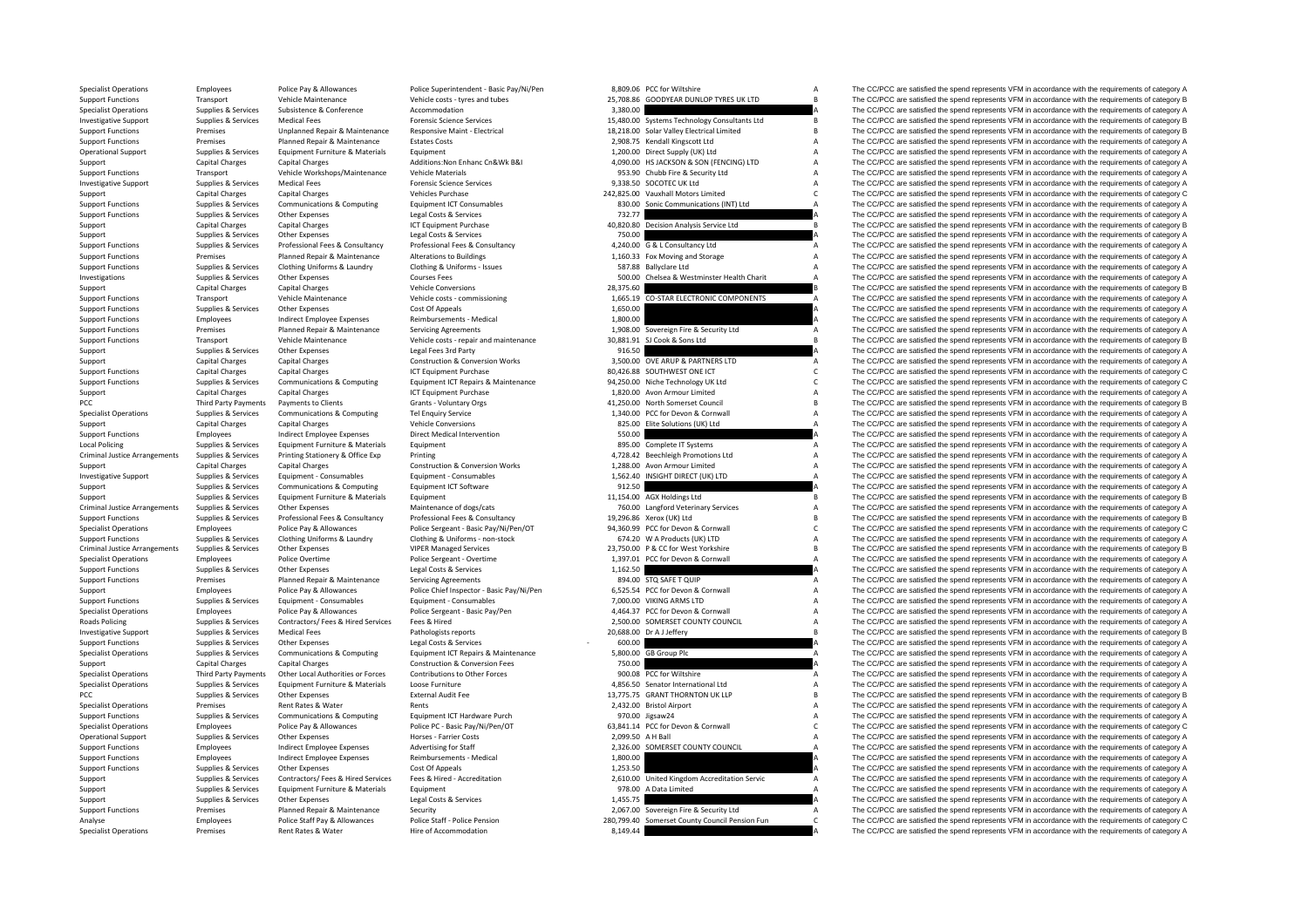PCC Third Party Payments Local Policing Criminal JusticeCriminal JusticeCriminal Justice**Roads Policing** 

| 8,809.06             | PCC for Wiltshire                                                           | A      |
|----------------------|-----------------------------------------------------------------------------|--------|
| 25,708.86            | GOODYEAR DUNLOP TYRES UK LTD                                                | B      |
| 3,380.00             |                                                                             | A      |
|                      | 15,480.00 Systems Technology Consultants Ltd                                | B<br>B |
|                      | 18,218.00 Solar Valley Electrical Limited<br>2,908.75 Kendall Kingscott Ltd | A      |
|                      | 1,200.00 Direct Supply (UK) Ltd                                             | Δ      |
|                      | 4,090.00 HS JACKSON & SON (FENCING) LTD                                     | A      |
| 953.90               | Chubb Fire & Security Ltd                                                   | A      |
| 9,338.50             | SOCOTEC UK Ltd                                                              | A      |
| 242,825.00           | Vauxhall Motors Limited                                                     | C      |
| 830.00               | Sonic Communications (INT) Ltd                                              | A      |
| 732.77               |                                                                             | A      |
| 40,820.80            | Decision Analysis Service Ltd                                               | R      |
| 750.00               |                                                                             | Δ      |
| 4,240.00             | G & L Consultancy Ltd                                                       | A      |
|                      | 1,160.33 Fox Moving and Storage                                             | A<br>A |
| 587.88<br>500.00     | <b>Ballyclare Ltd</b>                                                       | A      |
| 28,375.60            | Chelsea & Westminster Health Charit                                         | B      |
| 1,665.19             | CO-STAR ELECTRONIC COMPONENTS                                               | A      |
| 1,650.00             |                                                                             | A      |
| 1,800.00             |                                                                             |        |
| 1,908.00             | Sovereign Fire & Security Ltd                                               | A      |
| 30.881.91            | SJ Cook & Sons Ltd                                                          | Ŕ      |
| 916.50               |                                                                             | А      |
| 3,500.00             | OVE ARUP & PARTNERS LTD                                                     | A      |
|                      | 80,426.88 SOUTHWEST ONE ICT                                                 | Ċ      |
|                      | 94,250.00 Niche Technology UK Ltd                                           | C      |
|                      | 1,820.00 Avon Armour Limited                                                | A      |
|                      | 41,250.00 North Somerset Council<br>1,340.00 PCC for Devon & Cornwall       | B<br>A |
| 825.00               | Elite Solutions (UK) Ltd                                                    | A      |
| 550.00               |                                                                             | Δ      |
|                      | 895.00 Complete IT Systems                                                  | A      |
|                      | 4,728.42 Beechleigh Promotions Ltd                                          | A      |
| 1,288.00             | Avon Armour Limited                                                         | A      |
| 1.562.40             | INSIGHT DIRECT (UK) LTD                                                     | A      |
| 912.50               |                                                                             | A      |
| 11,154.00            | <b>AGX Holdings Ltd</b>                                                     | B      |
|                      | 760.00 Langford Veterinary Services                                         | A      |
|                      | 19,296.86 Xerox (UK) Ltd<br>94,360.99 PCC for Devon & Cornwall              | B<br>C |
| 674.20               | W A Products (UK) LTD                                                       | A      |
|                      | 23,750.00 P & CC for West Yorkshire                                         | B      |
| 1,397.01             | PCC for Devon & Cornwall                                                    | А      |
| 1,162.50             |                                                                             | A      |
| 894.00               | STQ SAFE T QUIP                                                             | A      |
| 6,525.54             | PCC for Devon & Cornwall                                                    | A      |
| 7,000.00             | VIKING ARMS LTD                                                             | A      |
| 4,464.37             | PCC for Devon & Cornwall                                                    | A      |
| 2,500.00             | SOMERSET COUNTY COUNCIL                                                     | A      |
| 20,688.00            | Dr A J Jeffery                                                              | B<br>A |
| 600.00<br>5.800.00   | GB Group Plc                                                                | A      |
| 750.00               |                                                                             | A      |
| 900.08               | PCC for Wiltshire                                                           | A      |
| 4,856.50             | Senator International Ltd                                                   | A      |
| 13,775.75            | <b>GRANT THORNTON UK LLP</b>                                                | B      |
| 2,432.00             | <b>Bristol Airport</b>                                                      | A      |
| 970.00               | Jigsaw24                                                                    | A      |
| 63,841.14            | PCC for Devon & Cornwall                                                    | C      |
| 2,099.50             | A H Ball                                                                    | A      |
| 2,326.00<br>1,800.00 | SOMERSET COUNTY COUNCIL                                                     | A<br>A |
| 1,253.50             |                                                                             |        |
| 2,610.00             | United Kingdom Accreditation Servic                                         |        |
| 978.00               | A Data Limited                                                              |        |
| 1,455.75             |                                                                             | A      |
| 2,067.00             | Sovereign Fire & Security Ltd                                               | A      |
| 280,799.40           | Somerset County Council Pension Fun                                         | C      |
|                      |                                                                             |        |

Specialist Operations Employees Police Pay & Allowances Police Superintendent - Basic Pay/Ni/Pen 8,809.06 PCC for Wiltshire A The CC/PCC are satisfied the spend represents VFM in accordance with the requirements of categor Support Functions Transport Vehicle Maintenance Vehicle costs ‐ tyres and tubes 25,708.86 GOODYEAR DUNLOP TYRES UK LTD B The CC/PCC are satisfied the spend represents VFM in accordance with the requirements of category B Specialist Operations Supplies & Services Subsistence Subsistence Accommodation Accommodation Accommodation 3,380.00 A The CC/PCC are satisfied the spend represents VFM in accordance with the requirements of category A<br>3.5 Medical Fees Expendit of the CC/PCC are satisfied the spend represents VFM in accordance with the requirements of category B<br>1990 Maintenance Resonative Maint - Flectrical Sections and the Section of the CC/PCC are satisfi Support Functions Transformation of the Premises and Unplanned Repair & Maintenance Responsive Maint-Electrical<br>Support Functions Functions Premises Planned Repair & Maintenance Estates Costs and Electrical Maintenance Est Support Functions Premises Planned Repair & Maintenance Estates Costs 2,908.75 Kendall Kingscott Ltd A The CC/PCC are satisfied the spend represents VFM in accordance with the requirements of category A Corea Contact A Cor Operational Support Supplies & Services Equipment Furniture & Materials Equipment 1,200.00 Direct Supply (UK) Ltd A The CC/PCC are satisfied the spend represents VFM in accordance with the requirements of category A Support Capital Charges Capital Charges Capital Charges Additions:Non Enhanc Cn&Wk B&I 4,090.00 HS JACKSON & SON (FENCING) LTD A The CC/PCC are satisfied the spend represents VFM in accordance with the requirements of cate Transport Vehicle Workshops/Maintenance Vehicle Materials examples and the Security Ltd A The CC/PCC are satisfied the spend represents VFM in accordance with the requirements of category A Investigative Support Supplies & Services Medical Fees Support Forensic Science Services Forensic Science Services 9,338.50 SOCOTEC UK Ltd A The CC/PCC are satisfied the spend represents VFM in accordance with the requirem Support Capital Charges Capital Charges 242,825.00 Vauxhall Motors Limited C The CC/PCC are satisfied the spend represents VFM in accordance with the requirements of category C Supplies & Services Communications & Computing Equipment ICT Consumables and a service communications (NTI) Ltd A The CC/PCC are satisfied the spend represents VFM in accordance with the requirements of category A Support Functions Supplies & Services Other Expenses Legal Costs & Services 732.77 7 732.77 A The CC/PCC are satisfied the spend represents VFM in accordance with the requirements of category A Support Capital Charges Capital Charges Capital Charges Access 1CT Equipment Purchase 40,820.80 Decision Analysis Service Ltd B The CC/PCC are satisfied the spend represents VFM in accordance with the requirements of categ Support Support Support Support Other Expenses Legal Costs & Services 750.00 A The CC/PCC are satisfied the spend represents VFM in accordance with the requirements of category A Sunnort Eurorings Sunning Services Professional Fees & Consultancy Professional Fees & Consultancy Professional Fees & Consultancy 4 240.00 G & J Consultancy Itd The CC/PCC are satisfied the spend represents VFM in accorda Support Functions Premises Planned Repair & Maintenance Alterations to Buildings 1,160.33 Fox Moving and Storage A The CC/PCC are satisfied the spend represents VFM in accordance with the requirements of category A Support Functions Supplies & Services Clothing Uniforms & Laundry Clothing & Uniforms - Issues Clothing A ST.88 Ballyclare Ltd A The CC/PCC are satisfied the spend represents VFM in accordance with the requirements of cate The CC/PCC are satisfied the spend represents VFM in accordance with the requirements of category A Support Capital Charges Capital Charges Capital Charges Vehicle Conversions Vehicle Conversions 28,375.60 B The CC/PCC are satisfied the spend represents VFM in accordance with the requirements of category B<br>Support Functi Transport Vehicle Maintenance Vehicle costs ‐ commissioning 1,665.19 CO‐STAR ELECTRONIC COMPONENTS A The CC/PCC are satisfied the spend represents VFM in accordance with the requirements of category A Support Functions Supplies & Services Other Expenses Cost Of Appeals Cost Of Appeals 1,650.00 A The CC/PCC are satisfied the spend represents VFM in accordance with the requirements of category A Support Functions Employees and increase Indirect Employee Expenses Reimbursements - Medical 1,800.00 A The CC/PCC are satisfied the spend represents VFM in accordance with the requirements of category A<br>
1,908.00 Sovereig Support Functions Agreements Punctions Category A The CC/PCC are satisfied the spend represents VFM in accordance with the requirements of category A The CC/PCC are satisfied the spend represents VFM in accordance with the Support Functions Transport Vehicle Maintenance Vehicle costs - repair and maintenance 30,881.91 SJ Cook & Sons Ltd B The CC/PCC are satisfied the spend represents VFM in accordance with the requirements of category B<br>Supp Supplies & Services Other Expenses Legal Fees 3rd Party 916.50 916.50 A The CC/PCC are satisfied the spend represents VFM in accordance with the requirements of category A Support Capital Charges Capital Charges Capital Charges Construction & Conversion Works 3,500.00 OVE ARUP & PARTNERS LTD A The CC/PCC are satisfied the spend represents VFM in accordance with the requirements of category A Support Functions Capital Charges Capital Charges Capital Charges Capital Charges ICT Equipment Purchase 101 Equipment Purchase 80,426.88 SOUTHWEST ONE ICT C The CC/PCC are satisfied the spend represents VFM in accordance The CC/PCC are satisfied the spend represents VFM in accordance with the requirements of category C Support Capital Charges Capital Charges Capital Charges Music Calegory A ICT Equipment Purchase 1,820.00 Avon Armour Limited A The CC/PCC are satisfied the spend represents VFM in accordance with the requirements of catego Payments to Clients Grants - Voluntary Orgs Crants - Voluntary Orgs 41,250.00 North Somerset Council B The CC/PCC are satisfied the spend represents VFM in accordance with the requirements of category B Specialist Operations Supplies & Services Communications & Computing Tel Enquiry Service 1,340.00 PCC for Devon & Cornwall A The CC/PCC are satisfied the spend represents VFM in accordance with the requirements of category Support Capital Charges Capital Charges Wehicle Conversions 825.00 Elite Solutions 825.00 Elite Solutions (UK) Ltd A The CC/PCC are satisfied the spend represents VFM in accordance with the requirements of category A Support Functions Employees Indirect Employee Expenses Direct Medical Intervention Direct Medical Intervention Direct Medical Intervention Support Employees Inc. a The CC/PCC are satisfied the spend represents VFM in accor Policing Supplies A The CC/PCC are satisfied the spend represents VFM in accordance with the requirements of category A The CC/PCC are satisfied the spend represents VFM in accordance with the requirements of category A Arrangements of the COVICE Supplies Arrangements of Category Arrangements of category A The CC/PCC are satisfied the spend represents VFM in accordance with the requirements of category A The CC/PCC are satisfied the spend Support Capital Charges Capital Charges Capital Charges Construction & Conversion Works 1,288.00 Avon Armour Limited A The CC/PCC are satisfied the spend represents VFM in accordance with the requirements of category A Sup Investigative Supplies Services Equipment Consumables Equipment Consumables and Consumables 1,562.40 INSIGHT DIRECT (IK) LTD A The CC/PCC are satisfied the spend represents VFM in accordance with the requirements of catego Support Supplies & Services Communications & Computing Equipment ICT Software Equipment Software 912.50 912.50 A The CC/PCC are satisfied the spend represents VFM in accordance with the requirements of category A<br>Support S Supplies & Services Equipment Furniture & Materials Equipment 11,154.00 AGX Holdings Ltd B The CC/PCC are satisfied the spend represents VFM in accordance with the requirements of category B Arrangements Supplies & Services Other Expenses Maintenance of dogs/cats 760.00 Langford Veterinary Services <sup>A</sup> The CC/PCC are satisfied the spend represents VFM in accordance with the requirements of category A Support Functions Supplies & Services Professional Fees & Consultancy Professional Fees & Consultancy Professional Fees & Consultance Professional Fees & Consultance Consultance Professional Fees & Consultance Professional online police Structure of Calcular Dolice Carent Racin Dolline Carent Racin Dolline Carent Racin Dolline Carent Racin Dolline Carent Racin Dolline Carent Carent Carent Carent Carent Carent Carent Carent Carent Carent Care Supplies & Services Clothing Uniforms & Laundry Clothing & Leadery Clothing Clothing Clothing Clothing Clothing Clothing Antiforms - non-stock 674.20 MA Products (UK) LTD A The CC/PCC are satisfied the spend represents VFM The CC/PCC are satisfied the spend represents VFM in accordance with the requirements of category B Specialist Operations Employees Police Overtime Police Sergeant - Overtime Police Sergeant - Overtime Police Sergeant - Overtime 1,397.01 PCC for Devon & Cornwall A The CC/PCC are satisfied the spend represents VFM in acco Support Functions Supplies & Services Other Expenses Legal Costs & Services Legal Costs & Services Legal Costs & Services 1,162.50 A The CC/PCC are satisfied the spend represents VFM in accordance with the requirements of Premises Planned Repair & Maintenance Servicing Agreements 894.00 STQ SAFET OUIP A The CC/PCC are satisfied the spend represents VFM in accordance with the requirements of category A Support Employees Police Pay & Allowances Police Chief Inspector - Basic Pay/Ni/Pen 6,525.54 PCC for Devon & Cornwall A The CC/PCC are satisfied the spend represents VFM in accordance with the requirements of category A Su The CC/PCC are satisfied the spend represents VFM in accordance with the requirements of category A Specialist Operations Employees Police Pay & Allowances Police Sergeant - Basic Pay/Pen 4,464.37 PCC for Devon & Cornwall A The CC/PCC are satisfied the spend represents VFM in accordance with the requirements of category Policing Supplies & Services Contractors/ Fees & Hired Services Fees & Hired 2,500.00 SOMERSET COUNTY COUNCIL A The CC/PCC are satisfied the spend represents VFM in accordance with the requirements of category A Developmen Supplies Services Medical Fees Pathologists reports 20,688.00 Dr A J Jeffery B The CC/PCC are satisfied the spend represents VFM in accordance with the requirements of category B Support Functions Supplies & Services Other Expenses Legal Costs & Services Legal Costs & Services Computing Costs & Services Computing Equipment ICT Repairs & Maintenance 5,800.00 GB Group Plc Services A The CC/PCC are sa The CC/PCC are satisfied the spend represents VFM in accordance with the requirements of category A Support Capital Charges Capital Charges Capital Charges Category A Construction & Conversion Fees 750.00 The COPCC are satisfied the spend represents VFM in accordance with the requirements of category A Specialist Operati Third Party Payments Other Local Authorities or Forces Contributions to Other Forces and the COLOGE CONTINE COPC are satisfied the spend represents VFM in accordance with the requirements of category A<br>Sunnlies & Services Superiality Operations Cumples & Services Foundment Furniture & Materials Longe Furniture Dece Funditure and the property of the CONSTANT ON The COPCC are satisfied the spend represents VFM in accordance with the requireme PCC Supplies Aservices Other Expenses External Audit Fee 13,775.75 GRANT THORNTON UK LLP The CC/PCC are satisfied the spend represents VFM in accordance with the requirements of category B<br>1999 Specialist Operations Securi Premises Rent Rates & Water Rents Rents Rents Rents Rents Rents Rents Rents Rents Rents Rents Rents Rents Rent<br>A The CC/PCC are satisfied the spend represents VFM in accordance with the requirements of category A The CC/PC Support Functions Supplies & Services Communications & Computing Equipment ICT Hardware Purch 970.00 Jigsaw24 3000 983,841.14 PCC for Devon & Computing Computing Computing Computing Specialist Operations of Devon Employees Specialist Operations Employees Police Pay & Allowances Police PC - Basic Pay/Ni/Pen/OT 63,841.14 PCC for Devon & Cornwall C The CC/PCC are satisfied the spend represents VFM in accordance with the requirements of category Operational Support Supplies & Services Other Expenses Horses Farrier Costs 2,099.50 A H Ball A The CC/PCC are satisfied the spend represents VFM in accordance with the requirements of category A Support Functions Employees Indirect Employee Expenses Advertising for Staff 2,326.00 SOMERSET COUNTY COUNCIL A The CC/PCC are satisfied the spend represents VFM in accordance with the requirements of category A Support Functions Employees Employee Expenses Reimbursements - Medical 1,800.00 A The CC/PCC are satisfied the spend represents VFM in accordance with the requirements of category A<br>Support Functions Support Functions Serv Support Functions Supplies & Services Other Expenses Cost Of Appeals Cost Of Appeals 1,253.50 A The CC/PCC are satisfied the spend represents VFM in accordance with the requirements of category A Support Support Support Support Contractors Contractors (Fees & Hired Services Fees & Hired Services Fees & Hired Accreditation Accreditation 2.610.00 United Kingdom Accreditation Servic A The CC/PCC are satisfied the spen Supplies Supplies & Services Equipment Eurniture & Materials Equipment Equipment Equipment Equipment expendix a Data Limited A The CC/PCC are satisfied the spend represents VFM in accordance with the requirements of catego support Support Support Other Expenses Legal Costs & Services 1,455.75 A The CC/PCC are satisfied the spend represents VFM in accordance with the requirements of category A The CC/PCC are satisfied the spend represents VFM Support Functions Premises Planned Repair & Maintenance Security Security 2,067.00 Sovereign Fire & Security Ltd A The CC/PCC are satisfied the spend represents VFM in accordance with the requirements of category A Categor of the staff and the animal control of the Staff And Staff And Control of the Staff And Control of the COPCC are satisfied the spend represents VEM in accordance with the requirements of category Control of the Staff And C Specialist Operations Premises Rent Rates & Water Hire of Accommodation Hire of Accommodation 8,149.44 A The CC/PCC are satisfied the spend represents VFM in accordance with the requirements of category A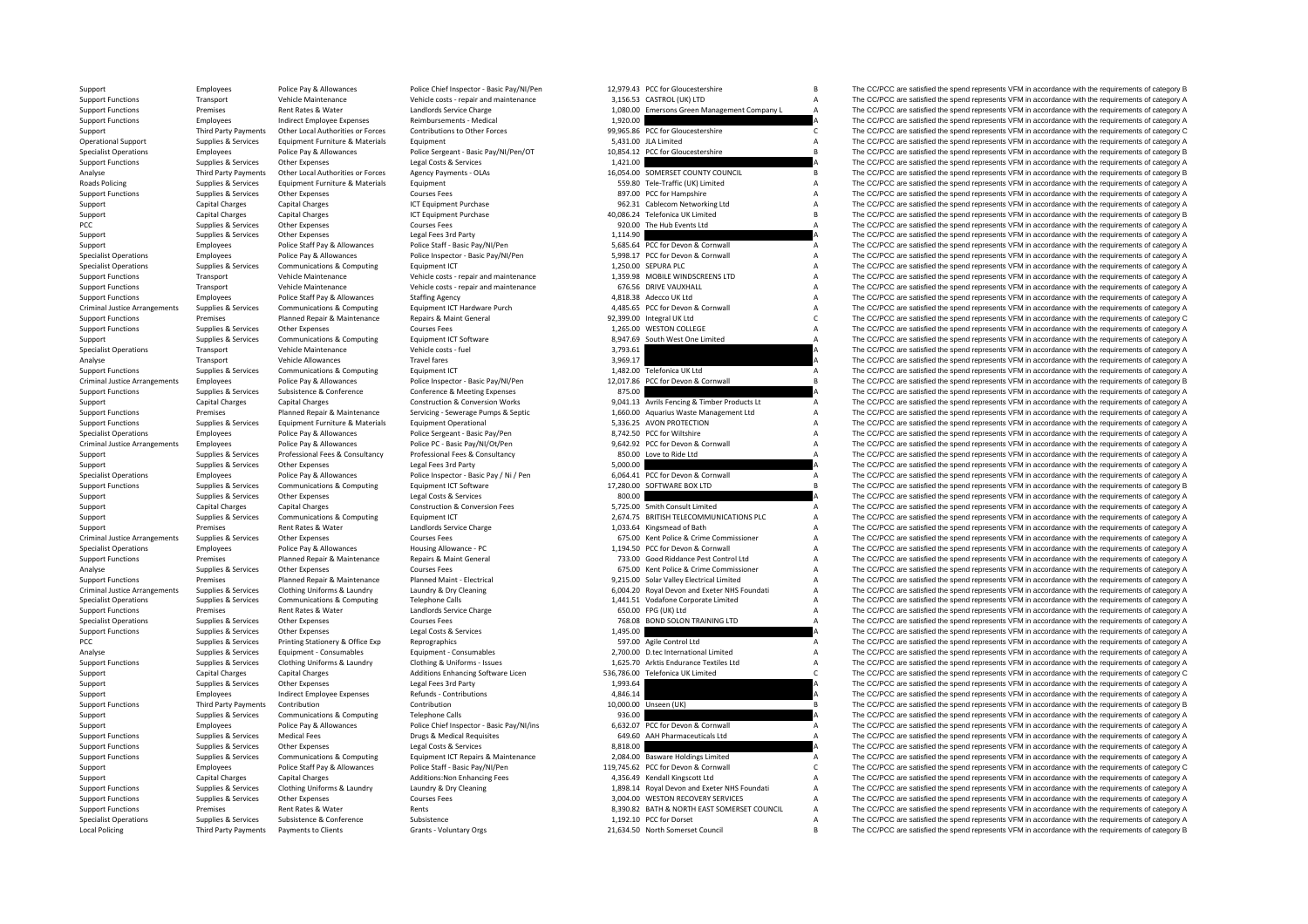**Roads Policing** Criminal JusticeCriminal JusticeCriminal JusticeCriminal JusticeCriminal Justice**Local Policing** 

| 12.979.43  | PCC for Gloucestershire                      | B |
|------------|----------------------------------------------|---|
| 3,156.53   | CASTROL (UK) LTD                             | A |
| 1,080.00   | Emersons Green Management Company L          | A |
| 1,920.00   |                                              | A |
| 99,965.86  | PCC for Gloucestershire                      | C |
|            | 5,431.00 JLA Limited                         | A |
| 10,854.12  | PCC for Gloucestershire                      | B |
| 1,421.00   |                                              | A |
| 16,054.00  | SOMERSET COUNTY COUNCIL                      | B |
|            |                                              | A |
|            | 559.80 Tele-Traffic (UK) Limited             |   |
|            | 897.00 PCC for Hampshire                     | A |
|            | 962.31 Cablecom Networking Ltd               | A |
| 40,086.24  | Telefonica UK Limited                        | B |
| 920.00     | The Hub Events Ltd                           | A |
| 1,114.90   |                                              | A |
|            | 5,685.64 PCC for Devon & Cornwall            | А |
|            | 5,998.17 PCC for Devon & Cornwall            | A |
|            | 1,250.00 SEPURA PLC                          | A |
|            | 1,359.98 MOBILE WINDSCREENS LTD              | A |
|            | 676.56 DRIVE VAUXHALL                        | A |
|            | 4,818.38 Adecco UK Ltd                       | A |
|            | 4,485.65 PCC for Devon & Cornwall            | A |
|            | 92,399.00 Integral UK Ltd                    | C |
|            |                                              |   |
| 1,265.00   | <b>WESTON COLLEGE</b>                        | A |
| 8,947.69   | South West One Limited                       | A |
| 3,793.61   |                                              | A |
| 3,969.17   |                                              | Δ |
|            | 1,482.00 Telefonica UK Ltd                   | A |
|            | 12,017.86 PCC for Devon & Cornwall           | B |
| 875.00     |                                              | A |
|            | 9,041.13 Avrils Fencing & Timber Products Lt | A |
|            | 1,660.00 Aquarius Waste Management Ltd       | A |
| 5,336.25   | <b>AVON PROTECTION</b>                       | A |
|            | 8,742.50 PCC for Wiltshire                   | A |
| 9,642.92   | PCC for Devon & Cornwall                     | A |
|            |                                              | A |
| 850.00     | Love to Ride Ltd                             |   |
| 5,000.00   |                                              | A |
| 6,064.41   | PCC for Devon & Cornwall                     | A |
| 17,280.00  | SOFTWARE BOX LTD                             | B |
| 800.00     |                                              | A |
|            | 5,725.00 Smith Consult Limited               | А |
|            | 2,674.75 BRITISH TELECOMMUNICATIONS PLC      | A |
|            | 1,033.64 Kingsmead of Bath                   | A |
|            | 675.00 Kent Police & Crime Commissioner      | A |
|            | 1,194.50 PCC for Devon & Cornwall            | A |
|            | 733.00 Good Riddance Pest Control Ltd        | A |
|            | 675.00 Kent Police & Crime Commissioner      | A |
|            |                                              | A |
|            | 9,215.00 Solar Valley Electrical Limited     |   |
|            | 6,004.20 Royal Devon and Exeter NHS Foundati | A |
|            | 1,441.51 Vodafone Corporate Limited          | A |
|            | 650.00 FPG (UK) Ltd                          | A |
|            | 768.08 BOND SOLON TRAINING LTD               | A |
| 1,495.00   |                                              | A |
|            | 597.00 Agile Control Ltd                     | A |
|            | 2,700.00 D.tec International Limited         | A |
| 1,625.70   | Arktis Endurance Textiles Ltd                | A |
| 536,786.00 | Telefonica UK Limited                        | C |
| 1,993.64   |                                              | A |
| 4,846.14   |                                              | A |
| 10,000.00  | Unseen (UK)                                  | R |
| 936.00     |                                              | A |
|            |                                              |   |
|            | 6,632.07 PCC for Devon & Cornwall            | A |
|            | 649.60 AAH Pharmaceuticals Ltd               | A |
| 8,818.00   |                                              | A |
|            | 2,084.00 Basware Holdings Limited            | A |
|            | 119,745.62 PCC for Devon & Cornwall          | c |
|            | 4,356.49 Kendall Kingscott Ltd               | A |
|            | 1,898.14 Royal Devon and Exeter NHS Foundati | A |
| 3,004.00   | <b>WESTON RECOVERY SERVICES</b>              | A |
| 8,390.82   | BATH & NORTH EAST SOMERSET COUNCIL           | A |
| 1,192.10   | PCC for Dorset                               | A |
|            | 21.634.50 North Somerset Council             | B |

Support Employees Police Pay & Allowances Police Chief Inspector - Basic Pay/NI/Pen 12,979.43 PCC for Gloucestershire B The CC/PCC are satisfied the spend represents VFM in accordance with the requirements of category B Support Functions Transport Vehicle Maintenance Vehicle costs - repair and maintenance 3,156.53 CASTROL (UK) LTD A The CC/PCC are satisfied the spend represents VFM in accordance with the requirements of category A Support Functions Premises Rent Rates & Water Landlords Service Charge 1,080.00 Emersons Green Management Company L A The CC/PCC are satisfied the spend represents VFM in accordance with the requirements of category A<br>Supp Support Functions Employee Expenses Apple The CONCC are satisfied the spend represents VFM in accordance with the requirements of category A<br>Contributions to the forces and the spend represents VFM in accordance with the r Contribution of the Local Authorities or Forces contributions to Other Forces of the COPCC are satisfied the spend represents VFM in accordance with the requirements of category Contributions of the COPCC are satisfied the Coperational Support Support Support Support Support Support Support Support Turniture A The CC/PCC are satisfied the spend represents VFM in accordance with the requirements of category A The CC/PCC are satisfied the spen Specialist Operations Employees Police Pay & Allowances Police Sergeant - Basic Pay/NI/Pen/OT 10.854.12 PCC for Gloucestershire Basic Pay/NI/Pen/OT 10.854.12 PCC for Gloucestershire Basic Pay and Requirements of category B Support Functions Supplies & Services Other Expenses Legal Costs & Services Costs Coverses Legal Costs & Services 1,421.00 A The CC/PCC are satisfied the spend represents VFM in accordance with the requirements of category The CC/PCC are satisfied the spend represents VFM in accordance with the requirements of category B Policing Supplies & Services Equipment Furniture & Materials Equipment Equipment Equipment Supplies Equipment Supplies Equipment Curres Equipment Curres Equipment Curres Equipment Supplies A The CC/PCC are satisfied the sp Other Expenses Courses Fees Courses Fees and Support Functions Supplies and Decision of Courses Fees 897.00 PCC for Hampshire A The CC/PCC are satisfied the spend represents VFM in accordance with the requirements of categ Support Capital Charges Capital Charges Capital Charges ICT Equipment Purchase 962.31 Cablecom Networking Ltd A The CC/PCC are satisfied the spend represents VFM in accordance with the requirements of category A Support Capital Charges Capital Charges Alternation CT Equipment Purchase 10 and the magnetic Argument Purchase 40,086.24 Telefonica UK Limited B The CC/PCC are satisfied the spend represents VFM in accordance with the req PCC Supplies & Services Other Expenses Courses Fees Courses Fees 920.00 The Hub Events Ltd A The CC/PCC are satisfied the spend represents VFM in accordance with the requirements of category A<br>Supplies & Services Other Exp Support Supplies & Services Other Expenses Legal Fees 3rd Party 1,114.90 A The CC/PCC are satisfied the spend represents VFM in accordance with the requirements of category A Support Employees Police Staff Pay & Allowances Police Staff - Basic Pay/NI/Pen 5,685.64 PCC for Devon & Cornwall A The CC/PCC are satisfied the spend represents VFM in accordance with the requirements of category A Suppor Specialist Operations Employees Police Pay & Allowances Police Inspector - Basic Pay/NI/Pen<br>Supposed Specialist Operations Supposed Communications & Communications & Communications & Communications Environment ITT 150.00 S The CC/PCC are satisfied the spend represents VFM in accordance with the requirements of category A Support Functions Transport Vehicle Maintenance Vehicle costs ‐ repair and maintenance 1,359.98 MOBILE WINDSCREENS LTD A The CC/PCC are satisfied the spend represents VFM in accordance with the requirements of category A S Support Transport Vehicle Maintenance Vehicle costs - repair and maintenance 676.56 DRIVE VAUXHALL A The CC/PCC are satisfied the spend represents VFM in accordance with the requirements of category A The CC/PCC are satisf Support Functions Functions Employees Police Staff Pay & Allowances Staffing Agency Staffing Agency Agency 4,818.38 Adecco UK Ltd A The CC/PCC are satisfied the spend represents VFM in accordance with the requirements of c Arrangements Supplies Arrangement Communications & Computing Equipment ICT Hardware Purch 4,485.65 PCC for Devon & Cornwall A The CC/PCC are satisfied the spend represents VFM in accordance with the requirements of categor Support Functions Premises Planned Repair & Maintenance Repairs & Maint General 92,399.00 Integral UK Ltd C The CC/PCC are satisfied the spend represents VFM in accordance with the requirements of category C Support Functions Supplies & Services Other Expenses Courses Fees Courses Fees Courses Fees 1,265.00 WESTON COLLEGE A The CC/PCC are satisfied the spend represents VFM in accordance with the requirements of category A<br>Supp Support Supplies & Services Communications & Computing Equipment ICT Software a B.947.69 South West One Limited A The CC/PCC are satisfied the spend represents VFM in accordance with the requirements of category A Specialist Operations Transport Vehicle Maintenance Vehicle costs – fuel vehicle costs – fuel vehicle costs – fuel vehicle costs – fuel vehicle costs – fuel and the spend represents VFM in accordance vith the requirements Analyse Transport Vehicle Allowances Travel fares Travel fares 3,969.17 A The CC/PCC are satisfied the spend represents VFM in accordance with the requirements of category A<br>Supplier & Sanices Communications & Communicatio Supplies Communications Support Functions Communications of Computing Computing Computing Computing Computing Computing Computing Computing Computing Computing Computing Computing Computing Computing Computing Computing Co Arrangements Employees Police Pay & Allowances Police Inspector - Basic Pay/NI/Pen 12,017.86 PCC for Devon & Cornwall B The CC/PCC are satisfied the spend represents VFM in accordance with the requirements of category B Su The CC/PCC are satisfied the spend represents VFM in accordance with the requirements of category A Support Capital Charges Capital Charges Capital Charges Capital Charges Capital Charges Capital Charges Capital Charges Capital Construction & Conversion Works 9,041.13 Avrils Fencing & Timber Products Lt A The CC/PCC are Support Functions Premises Planned Repair & Maintenance Servicing - Severage Pumps & Septic 1,660.00 Aquarius Waste Management Ltd A The CC/PCC are satisfied the spend represents VFM in accordance with the requirements of Support Functions Supplies & Services Equipment Furniture & Materials Equipment Operational 5,336.25 AVON PROTECTION A The CC/PCC are satisfied the spend represents VFM in accordance with the requirements of category A Specialist Operations Employees Police Pay & Allowances Police Sergeant - Basic Pay/Pen 8,742.50 PCC for Wiltshire A The CC/PCC are satisfied the spend represents VFM in accordance with the requirements of category A Crimi Employees Police Pay & Allowances Police PC - Basic Pay/NI/Ot/Pen 9,642.92 PCC for Devon & Cornwall A The CC/PCC are satisfied the spend represents VFM in accordance with the requirements of category A Support Support Support Services Professional Fees & Consultancy Professional Fees & Consultancy Professional Fees & Consultancy Professional Fees & Consultancy and a SSO.00 Love to Ride Ltd A The CC/PCC are satisfied the Support Supplies & Services Other Expenses Legal Fees 3rd Party 5,000.00 5,000.00 A The CC/PCC are satisfied the spend represents VFM in accordance with the requirements of category A<br>Support Support of the spend of the sp Franchuses Police Pay & Allowances Police Inspector - Basic Pay / Ni / Pen 606441 PC for Devon & Cornwall The CC/PCC are satisfied the spend represents VFM in accordance with the requirements of category A Support Functions Supplies & Services Communications & Computing Equipment ICT Software 17,280.00 SOFTWARE BOX LTD B The CC/PCC are satisfied the spend represents VFM in accordance with the requirements of category B<br>Suppo Supplies & Services Other Expenses Legal Costs & Services 800.00 A The CC/PCC are satisfied the spend represents VFM in accordance with the requirements of category A Support Capital Charges Capital Charges Capital Charges Construction & Construction & Conversion Fees 5,725.00 Smith Consult Limited A The CC/PCC are satisfied the spend represents VFM in accordance with the requirements o Support Supplies & Services Communications & Computing Equipment ICT 2,674.75 BRITISH TELECOMMUNICATIONS PLC A The CC/PCC are satisfied the spend represents VFM in accordance with the requirements of category A Support Premises Rent Rates & Water Landlords Service Charge 1,033.64 Kingsmead of Bath A The CC/PCC are satisfied the spend represents VFM in accordance with the requirements of category A Supplies & Services Other Expenses Courses Fees Courses Fees 675.00 Kent Police & Crime Commissioner A The CC/PCC are satisfied the spend represents VFM in accordance with the requirements of category A Specialist Operations Employees Police Pay & Allowances Housing Allowance - PC 1,194.50 PCC for Devon & Cornwall A The CC/PCC are satisfied the spend represents VFM in accordance with the requirements of category A Support Support Functions Premises Planned Repair & Maintenance Repairs & Maint General 733.00 Good Riddance Pest Control Ltd A The CC/PCC are satisfied the spend represents VFM in accordance with the requirements of category A Analyse Supplies Services Other Expenses Courses Fees Courses Fees Courses Fees 675.00 Kent Police & Crime Commissioner A The CC/PCC are satisfied the spend represents VFM in accordance with the requirements of category A Compare the COPCC are satisfied the spend tepresents VFM in accordance with the requirements of category A and the compare of the control of the control of the control of the control of the control of the control of the co The CC/PCC are satisfied the spend represents VEM in accordance with the requirements of category. A Specialist Operations Supplies & Services Communications & Computing Telephone Calls 1,441.51 Vodafone Corporate Limited A The CC/PCC are satisfied the spend represents VFM in accordance with the requirements of category A Premises Rent Rates & Water Landlords Service Charge Charge 650.00 FPG (UK) Ltd A The CC/PCC are satisfied the spend represents VFM in accordance with the requirements of category A Specialist Operations Supplies Services Other Expenses Courses Fees 768.08 BOND SOLON TRAINING LTD A The CC/PCC are satisfied the spend represents VFM in accordance with the requirements of category A Support Functions Supplies & Services Other Expenses Legal Costs & Services Legal Costs & Services Legal Costs & Services 1,495.00 A The CC/PCC are satisfied the spend represents VFM in accordance with the requirements of PCC Supplies Again Control Ltd A The CC/PCC are satisfied the spend reproduce with the requirements of category A The CC/PCC are satisfied the spend reproduce with the requirements of category A The CC/PCC are satisfied th Analyse Supplies & Services Equipment - Consumables Equipment - Consumables Equipment - Consumables Equipment - Consumables 2,700.00 D.tec International Limited A The CC/PCC are satisfied the spend represents VFM in accord The CC/PCC are satisfied the spend represents VFM in accordance with the requirements of category A Support Capital Charges Capital Charges Additions Enhancing Software Licen 536,786.00 Telefonica UK Limited C The CC/PCC are satisfied the spend represents VFM in accordance with the requirements of category C Supplies Asservices Other Expenses Legal Fees 3rd Party 1,993.64 1,993.64 A The CC/PCC are satisfied the spend represents VFM in accordance with the requirements of category A<br>Support Experiments of category and the requir Support Employees Indirect Employee Refunds Contributions 4,846.14 A The CC/PCC are satisfied the spend represents VFM in accordance with the requirements of category A Support Functions Third Party Payments Contribution Contribution Contribution Contribution Contribution Contribution Contribution Contribution Contribution Contribution Contribution Contribution Contribution Contribution C Supplies & Services Communications & Computing Telephone Calls 936.00 936.00 A The CC/PCC are satisfied the spend represents VFM in accordance with the requirements of category A<br>Support Support Phone Philip Pay & Allowanc Support Employees Police Pay & Allowances Police Chief Inspector - Basic Pay/NI/ins 6,632.07 PCC for Devon & Cornwall A The CC/PCC are satisfied the spend represents VFM in accordance with the requirements of category A Su Support Functions Supplies & Services Medical Fees Drugs & Medical Requisites 649.60 AAH Pharmaceuticals Ltd A The CC/PCC are satisfied the spend represents VFM in accordance with the requirements of category A Support Functions Support Costs Other Expenses Legal Costs & Services 8,818.00 A The CC/PCC are satisfied the spend represents VFM in accordance with the requirements of category A Supplies & Services Communications & Computing Equipment ICT Repairs & Maintenance 2,084.00 Basware Holdings Limited The CC/PCC are satisfied the spend represents VFM in accordance with the requirements of category A<br>Suppo Support Employees Police Staff Pay & Allowances Police Staff - Basic Pay/NI/Pen 119,745.62 PCC for Devon & Cornwall C The CC/PCC are satisfied the spend represents VFM in accordance with the requirements of category C Support Capital Charges Capital Charges Capital Charges Additions:Non Enhancing Fees 4,356.49 Kendall Kingscott Ltd A The CC/PCC are satisfied the spend represents VFM in accordance with the requirements of category A Supp Supplies & Services Clothing Uniforms & Laundry and Management Management Cleaning and Management of Content of the EC/PCC are satisfied the spend represents VFM in accordance with the requirements of category A<br>Supplies & Support Functions Supporters Other Expenses Courses Courses Fees 3,004.00 WESTON RECOVERY SERVICES A The CC/PCC are satisfied the spend represents VFM in accordance with the requirements of category A Support Functions Premises Premises Rent Rates & Water Rents Rents Rents Rents Rents Rents Rents Rents Rents Rents Rents Rents Rents Report Press Rents Rents Report Report Rents Rents 8,390.82 BATH & NORTH EAST SOMERSET CO The CC/PCC are satisfied the spend represents VFM in accordance with the requirements of category A Third Party Payments Payments to Clients Collents Crants - Voluntary Orgs 21,634.50 North Somerset Council B The CC/PCC are satisfied the spend represents VFM in accordance with the requirements of category B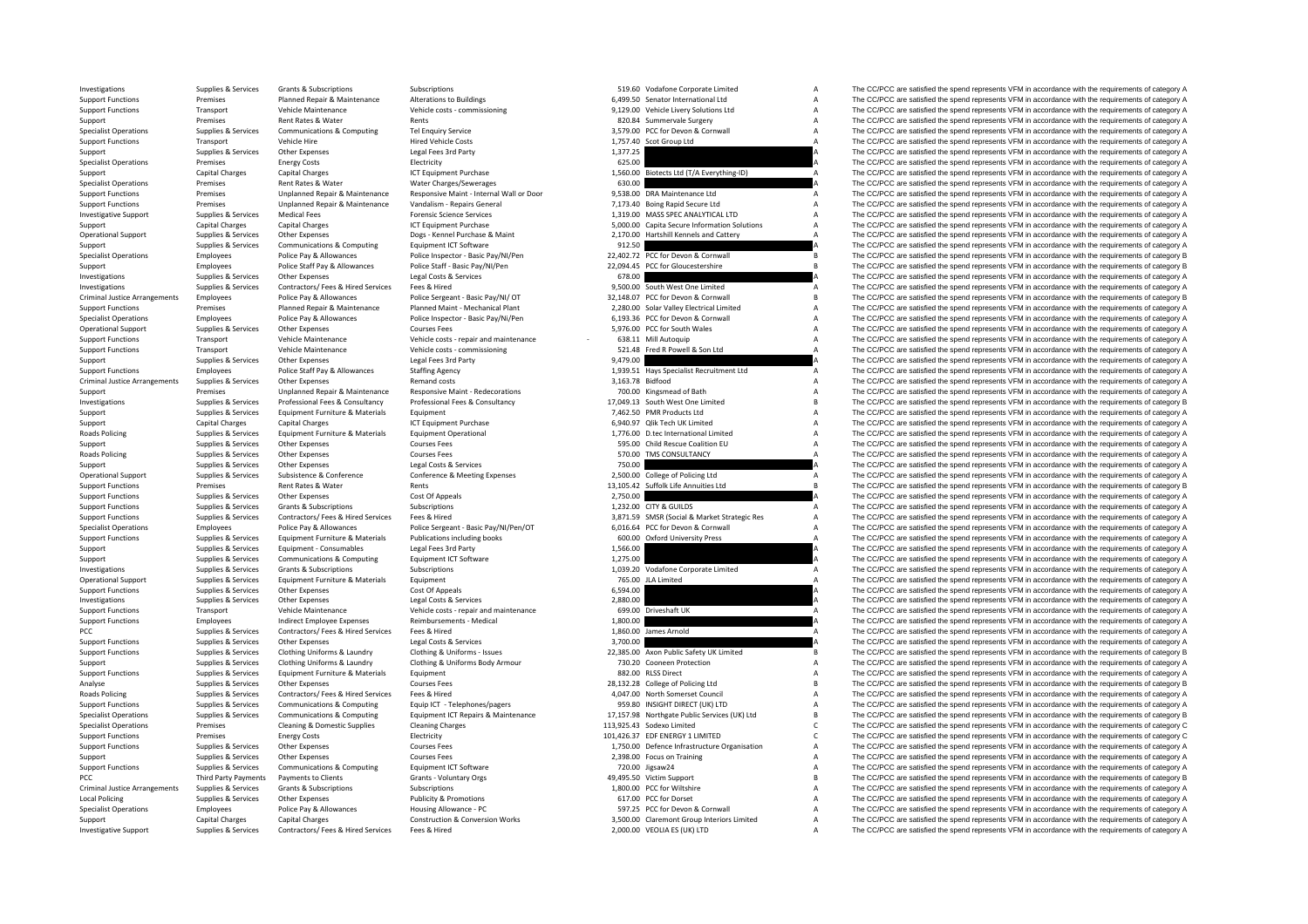Criminal JusticeCriminal Justice**Roads Policing Roads Policing** Roads Policing **PCC Third Party Payments** Criminal Justice**Local Policing** 

|                  | 519.60 Vodafone Corporate Limited                                                 | А      |
|------------------|-----------------------------------------------------------------------------------|--------|
|                  | 6,499.50 Senator International Ltd                                                | А      |
| 9,129.00         | Vehicle Livery Solutions Ltd                                                      | A      |
|                  | 820.84 Summervale Surgery                                                         | A      |
|                  | 3,579.00 PCC for Devon & Cornwall                                                 | A      |
| 1,757.40         | Scot Group Ltd                                                                    | A      |
| 1,377.25         |                                                                                   | A      |
| 625.00           |                                                                                   | A      |
| 1,560.00         | Biotects Ltd (T/A Everything-ID)                                                  | A      |
| 630.00           |                                                                                   | A      |
| 9,538.00         | DRA Maintenance Ltd                                                               | A      |
|                  | 7,173.40 Boing Rapid Secure Ltd                                                   | A      |
|                  | 1,319.00 MASS SPEC ANALYTICAL LTD                                                 | А      |
|                  | 5,000.00 Capita Secure Information Solutions                                      | A      |
| 2,170.00         | Hartshill Kennels and Cattery                                                     | A      |
| 912.50           |                                                                                   | A      |
| 22,402.72        | PCC for Devon & Cornwall                                                          | R      |
| 22,094.45        | PCC for Gloucestershire                                                           | R      |
| 678.00           |                                                                                   | A      |
|                  | 9,500.00 South West One Limited                                                   | A      |
|                  | 32,148.07 PCC for Devon & Cornwall                                                | R      |
|                  | 2,280.00 Solar Valley Electrical Limited                                          | A      |
|                  | 6,193.36 PCC for Devon & Cornwall                                                 | A      |
|                  | 5,976.00 PCC for South Wales                                                      | A      |
| 638.11           | Mill Autoquip                                                                     | A      |
|                  | 521.48 Fred R Powell & Son Ltd                                                    | A      |
| 9,479.00         |                                                                                   | A      |
| 1,939.51         | Hays Specialist Recruitment Ltd                                                   | A      |
| 3,163.78 Bidfood |                                                                                   | A      |
|                  | 700.00 Kingsmead of Bath                                                          | А      |
|                  | 17,049.13 South West One Limited                                                  | B      |
|                  | 7,462.50 PMR Products Ltd                                                         | A      |
|                  | 6,940.97 Qlik Tech UK Limited                                                     | A      |
|                  | 1,776.00 D.tec International Limited                                              | A      |
|                  | 595.00 Child Rescue Coalition EU                                                  | A      |
| 570.00           | TMS CONSULTANCY                                                                   | A      |
| 750.00           |                                                                                   | А      |
| 2,500.00         | College of Policing Ltd                                                           | A      |
| 13,105.42        | Suffolk Life Annuities Ltd                                                        | B<br>A |
| 2,750.00         |                                                                                   | А      |
|                  | 1,232.00 CITY & GUILDS                                                            | А      |
|                  | 3,871.59 SMSR (Social & Market Strategic Res<br>6,016.64 PCC for Devon & Cornwall | A      |
|                  | 600.00 Oxford University Press                                                    | A      |
| 1,566.00         |                                                                                   | A      |
| 1,275.00         |                                                                                   | A      |
| 1,039.20         | Vodafone Corporate Limited                                                        | A      |
|                  | 765.00 JLA Limited                                                                | А      |
| 6,594.00         |                                                                                   | A      |
| 2,880.00         |                                                                                   | A      |
| 699.00           | Driveshaft UK                                                                     | A      |
| 1,800.00         |                                                                                   | A      |
| 1,860.00         | James Arnold                                                                      | A      |
| 3,700.00         |                                                                                   | А      |
|                  | 22,385.00 Axon Public Safety UK Limited                                           | B      |
|                  | 730.20 Cooneen Protection                                                         | A      |
|                  | 882.00 RLSS Direct                                                                | A      |
|                  | 28,132.28 College of Policing Ltd                                                 | B      |
|                  | 4,047.00 North Somerset Council                                                   | A      |
|                  | 959.80 INSIGHT DIRECT (UK) LTD                                                    | A      |
|                  | 17,157.98 Northgate Public Services (UK) Ltd                                      | B      |
| 113,925.43       | Sodexo Limited                                                                    | C      |
| 101,426.37       | EDF ENERGY 1 LIMITED                                                              | C      |
|                  | 1,750.00 Defence Infrastructure Organisation                                      | A      |
|                  | 2,398.00 Focus on Training                                                        | А      |
|                  | 720.00 Jigsaw24                                                                   | А      |
|                  | 49,495.50 Victim Support                                                          | B      |
|                  | 1,800.00 PCC for Wiltshire                                                        | A      |
|                  | 617.00 PCC for Dorset                                                             | A      |
|                  | 597.25 PCC for Devon & Cornwall                                                   | A      |
|                  | 3,500.00 Claremont Group Interiors Limited                                        | A      |
|                  | 2,000.00 VEOLIA ES (UK) LTD                                                       | A      |
|                  |                                                                                   |        |

Investigations Supplies & Services Grants & Subscriptions Subscriptions Subscriptions Subscriptions Subscriptions Subscriptions Subscriptions Subscriptions Subscriptions Subscriptions Subscriptions A The CC/PCC are satisfi Support Functions Premises Planned Repair & Maintenance Alterations to Buildings 6,499.50 Senator International Ltd A The CC/PCC are satisfied the spend represents VFM in accordance with the requirements of category A Support Functions Transport Vehicle Maintenance Vehicle costs ‐ commissioning 9,129.00 Vehicle Livery Solutions Ltd A The CC/PCC are satisfied the spend represents VFM in accordance with the requirements of category A Supp Support Premises Rent Rates & Water Rents Rents Rents and the Surgery A The CC/PCC are satisfied the spend represents VFM in accordance with the requirements of category A Specialist Operations Supplies & Services Communications & Computing Tel Enquiry Service 3,579.00 PCC for Devon & Cornwall A The CC/PCC are satisfied the spend represents VFM in accordance with the requirements of category Support Functions Transport Vehicle Hire Market Hired Vehicle Costs Hired Vehicle Costs 1,757.40 Scot Group Ltd A The CC/PCC are satisfied the spend represents VFM in accordance with the requirements of category A Support Support Support Supporters Other Expenses Legal Fees 3rd Party 1,377.25 A The CC/PCC are satisfied the spend represents VFM in accordance with the requirements of category A Specialist Operations Premises Energy Costs Electricity Electricity Electricity A Support Purchase Energy Costs Electricity A The CC/PCC are satisfied the spend represents VFM in accordance with the requirements of categor Support Capital Charges Capital Charges ICT Equipment Purchase 1,560.00 Biotects Ltd (T/A Everything-ID) A The CC/PCC are satisfied the spend represents VFM in accordance with the requirements of category A Specialist Operations Premises Rent Rates & Water Water Charges/Sewerages 630.00 Charges and the CO/PCC are satisfied the spend represents VFM in accordance with the requirements of category A<br>Support Functions Premises Pr Support Functions Premises Unplanned Repair & Maintenance Responsive Maint Internal Wall or Door 9,538.00 DRA Maintenance Ltd A The CC/PCC are satisfied the spend represents VFM in accordance with the requirements of categ Support Functions Premises Unplanned Repair & Maintenance Vandalism - Repairs General 7,173.40 Boing Rapid Secure Ltd A The CC/PCC are satisfied the spend represents VFM in accordance with the requirements of category A Investigative Support Supplies & Services Medical Fees Forensic Science Services Forensic Science Services 1,319.00 MASS SPEC ANALYTICAL LTD A The CC/PCC are satisfied the spend represents VFM in accordance with the requir Support Capital Charges Capital Charges Capital Charges ICT Equipment Purchase ICT Equipment Purchase Capital Charges Capital Charges ICT Equipment Purchase A S,000.00 Capita Secure Information Solutions A The CC/PCC are s Supplies & Services Other Expenses Dogs - Kennel Purchase & Maint 2,170.00 Hartshill Kennels and Cattery A The CC/PCC are satisfied the spend represents VFM in accordance with the requirements of category A The CC/PCC ar Support Supplies & Services Communications & Computing Equipment ICT Software 912.50 912.50 A The CC/PCC are satisfied the spend represents VFM in accordance with the requirements of category A Support of category A Suppor Employees and the control of the control of the control of the control of the control of the control of the control of the control of the control of the control of the control of the control of the control of the control o Support Employees Police Staff Pay & Allowances Police Staff - Basic Pay/NI/Pen 22,094.45 PCC for Gloucestershire B The CC/PCC are satisfied the spend represents VFM in accordance with the requirements of category B Investigations Supplies & Services Other Expenses Legal Costs & Services Legal Costs & Services Legal Costs & Services 678.00 COST COST CONTENT A The CC/PCC are satisfied the spend represents VFM in accordance with the req Fees & Hired Supplies Contractors Contractors Contractors Contractors Contractors Contractors Fees A The CC/PCC are satisfied the spend represents VFM in accordance with the requirements of category A The CC/PCC are satisf Arrangements Employees Police Pay & Allowances Police Sergeant - Basic Pay/NI/ OT 32,148.07 PCC for Devon & Cornwall B The CC/PCC are satisfied the spend represents VFM in accordance with the requirements of category B ann Support Functions on the presents of the processes of the Presents of the Presents of the Presents of the COPC are satisfied the spend represents VFM in accordance with the requirements of category A<br>Consider Onesting and Employees Police Pay & Allowances Police Inspector - Basic Pay/Ni/Pen 6.193.36 PCC for Devon & Cornwall Manuscom And The CC/PCC are satisfied the spend represents VFM in accordance with the requirements of category A<br>Suppl Operational Support Supplies & Services Other Expenses Courses Fees Courses Fees S.976.00 PCC for South Wales A The CC/PCC are satisfied the spend represents VFM in accordance with the requirements of category A Support Fu Transport Vehicle Maintenance Vehicle costs - repair and maintenance on the COPCC are satisfied the spend represents VFM in accordance with the requirements of category A Support Functions Transport Vehicle Maintenance Vehicle costs – commissioning 521.48 Fred R Powell & Son Ltd A The CC/PCC are satisfied the spend represents VFM in accordance with the requirements of category A Supplies & Services Other Expenses Legal Fees 3rd Party 9,479.00 9,479.00 A The CC/PCC are satisfied the spend represents VFM in accordance with the requirements of category A<br>Support Europeans (Allegal Fees 3rd Party 1999 Employees Police Staff Pay & Allowances Staffing Agency 1,999.51 Have Specialist Recruitment Ltd A The CC/PCC are satisfied the spend represents VFM in accordance with the requirements of category A The CC/PCC are satisfie Arrangements Supplies Arrangements Supplies Arrangements Supplies and costs 3,163.78 Bidfood 3,163.78 Bidfood<br>3,163.78 Bidfood 3,163.78 Bidfood 3,163.78 Bidfood 3,163.78 Bidfood 3,163.78 a The CC/PCC are satisfied the spen Support Premises Unplanned Repair & Maintenance Responsive Maint ‐ Redecorations 700.00 Kingsmead of Bath A The CC/PCC are satisfied the spend represents VFM in accordance with the requirements of category A Supplies & Services Professional Fees & Consultancy Professional Fees & Consultancy Professional Fees & Consultancy Professional Fees & Consultancy 17,049.13 South West One Limited Build Build Build Build Build Build Build Support Supplies & Services Equipment Eurniture & Materials Equipment Equipment Furniture and the spend represent of the CC/PCC are satisfied the spend represents VFM in accordance with the requirements of category A Suppo Support Capital Charges Capital Charges Capital Charges ICT Equipment Purchase 6,940.97 Qlik Tech UK Limited A The CC/PCC are satisfied the spend represents VFM in accordance with the requirements of category A Poplics & Services Equipment Furniture & Materials Equipment Operational 1,776.00 D.tec International Limited A The CC/PCC are satisfied the spend represents VFM in accordance with the requirements of category A Service Ca Support Supplies & Services Other Expenses Courses Fees Courses Fees Support Support A The CC/PCC are satisfied the spend represents VFM in accordance with the requirements of category A Poplies & Services Other Expenses Courses Fees Courses Fees 570.00 TMS CONSULTANCY STOLEN THE COMPONER THE COMPONER CONSULTANCY A The COMPONER SERVICES THE SUPPOSE IN EXPENDITION OF THE SUPPOSE ARE SERVICES SERVICES THE SU Support Supplies & Services Other Expenses Legal Costs & Services 750.00 The COPCC are satisfied the spend represents VFM in accordance with the requirements of category A<br>Conference Conference Conference Conference Confer The CC/PCC are satisfied the spend represents VFM in accordance with the requirements of category A Support Functions Premises Rent Rates & Water Rents Rents Rents Rents Rents Rents Rents 13,105.42 Suffolk Life Annuities Ltd B The CC/PCC are satisfied the spend represents VFM in accordance with the requirements of catego The CC/PCC are satisfied the spend represents VFM in accordance with the requirements of category A Support Functions Supplies & Services Grants & Subscriptions Subscriptions Subscriptions Subscriptions Subscriptions and the media of the media of the spend represents of the comparations of the comparations of category A Support Functions Supplies & Services Contractors/ Fees & Hired Services Fees & Hired Services Fees & Hired Services Fees & Hired Services Fees & Hired Services Fees & Hired Services Fees & Hired Services Fees & Hired Serv Specialist Operations Employees Police Pay & Allowances Police Sergeant - Basic Pay/NI/Pen/OT 6016.64 PCC for Devon & Cornwall A The CC/PCC are satisfied the spend represents VFM in accordance with the requirements of cate Supplies & Supplies & Services Equipment Furniture & Materials Publications including books 600.00 Oxford University Press A The CC/PCC are satisfied the spend represents VFM in accordance with the requirements of category Support Supplies & Services Equipment - Consumables Legal Fees 3rd Party 1,566.00 1,566.00 A The CC/PCC are satisfied the spend represents VFM in accordance with the requirements of category A Support Support Support Suppo Support Supplies & Services Communications & Computing Equipment ICT Software 1,275.00 1,275.00 A The CC/PCC are satisfied the spend represents VFM in accordance with the requirements of category A Investigations Supplies & Services Grants & Subscriptions Subscriptions Subscriptions Subscriptions 1,039.20 Vodafone Corporate Limited A The CC/PCC are satisfied the spend represents VFM in accordance with the requirement Operational Support Supplies & Services Equipment European Equipment Pure Equipment and COLEC are satisfied the spend represents VFM in accordance with the requirements of category A The CC/PCC are satisfied the spend repr Support Functions Supplies Services Other Expenses Cost Of Of Appeals Cost Of Other Cost Of Appeals Cost Of Appeals Cost Of Appeals Cost Of Appeals Cost Of Appeals Cost Of Appeals Cost Of Appeals Cost Of Appeals Cost Of Ap Investigations Supplies & Services Other Expenses Category A Legal Costs & Services Legal Costs & Services 2,880.00 and a The CC/PCC are satisfied the spend represents VFM in accordance with the requirements of category A Transport Vehicle Maintenance Vehicle costs ‐ repair and maintenance 699.00 Driveshaft UK A The CC/PCC are satisfied the spend represents VFM in accordance with the requirements of category A Support Functions Employees Indirect Employee Expenses Reimbursements ‐ Medical 1,800.00 A The CC/PCC are satisfied the spend represents VFM in accordance with the requirements of category A The CC/PCC are satisfied the sp PCC Supplies & Services Contractors/ Fees & Hired Services Fees & Hired 1,860.00 James Arnold 1,860.00 James Arnold A The CC/PCC are satisfied the spend represents VFM in accordance with the requirements of category A Support Functions Supplies & Services Contrast Legal Costs & Services 3,700.00 A The CC/PCC are satisfied the spend represents VFM in accordance with the requirements of category A Supplies & Services Clothing Uniforms & Laundry Clothing & Uniforms - Issues Clothing Allentoms - 1990 CONNING MACHAND 200785.00 Axon Public Safety UK Limited B The CC/PCC are satisfied the spend represents VFM in accordan Support Supplies & Services Clothing Uniforms & Laundry Clothing & Uniforms Body Armour 730.20 Cooneen Protection A The CC/PCC are satisfied the spend represents VFM in accordance with the requirements of category A Suppor Support Functions Supplies & Services Equipment Furniture & Materials Equipment a Equipment a S82.00 RLSS Direct A The CC/PCC are satisfied the spend represents VFM in accordance with the requirements of category A Analyse Supplies & Services Other Expenses Courses Fees 2009 Courses Fees 28,132.28 College of Policing Ltd B The CC/PCC are satisfied the spend represents VFM in accordance with the requirements of category B<br>Boards Polic Poplies & Services Contractors/ Fees & Hired Frees & Hired Fees & Hired Services Fees & Hired The Contractors/ Fees & Hired Fees & Hired A The CC/PCC are satisfied the spend represents VFM in accordance with the requiremen Support Functions Supplies & Services Communications & Computing Equip ICT - Telephones/pagers of the SUPORT DIRECT (UK) LTD A The CC/PCC are satisfied the spend represents VFM in accordance with the requirements of catego The CC/PCC are satisfied the spend represents VFM in accordance with the requirements of category B Specialist Operations Premises Cleaning & Domestic Supplies Cleaning Charges Cleaning Charges Cleaning Charges 113,925.43 Sodexo Limited C The CC/PCC are satisfied the spend represents VFM in accordance with the requiremen Support Functions Premises Energy Costs Electricity Electricity entity and the energy Costs Electricity Electricity and the spend represents of the CC/PCC are satisfied the spend represents VFM in accordance with the requi Support Functions Supplies & Services Other Expenses Courses Fees Courses Courses Courses Courses Courses Courses Courses Courses Courses Courses Courses Courses Courses Courses 2,398.00 Focus on Training A The CC/PCC are Support Supplies & Services Other Expenses Courses Fees Courses Fees 2,398.00 Focus on Training a The CC/PCC are satisfied the spend represents VFM in accordance with the requirements of category A Support Functions Suppor Support Functions Supplies & Services Communications & Computing Equipment ICT Software Equipment ICT Software 720.00 Jigsaw24 A The CC/PCC are satisfied the spend represents VFM in accordance with the requirements of cate Payments to Clients Grants - Voluntary Orgs examples and the spanning and the spend represents VFM in accordance with the requirements of category B and represents VFM in accordance with the requirements of category B Supplies & Subscriptions Subscriptions Subscriptions Subscriptions (Subscriptions Subscriptions Subscriptions 1,800.00 PCC for Willshire A The CC/PCC are satisfied the spend represents VFM in accordance with the requiremen Supplies Services Other Expenses Publicity & Promotions 617.00 PCC for Dorset A The CC/PCC are satisfied the spend represents VFM in accordance with the requirements of category A Specialist Operations Employees Police Pay & Allowances Housing Allowance - PC Housing Allowance - PC 597.25 PCC for Devon & Cornwall A The CC/PCC are satisfied the spend represents VFM in accordance with the requirements Support Capital Charges Capital Charges Capital Charges Construction & Conversion Works Conversion Works 3,500.00 Claremont Group Interiors Limited A The CC/PCC are satisfied the spend represents VFM in accordance with the Investigative Support Supplies & Services Contractors/ Fees & Hired Services Fees & Hired 2,000.00 VEOLIA ES (UK) LTD A The CC/PCC are satisfied the spend represents VFM in accordance with the requirements of category A